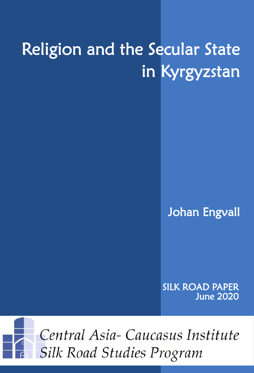# Religion and the Secular State in Kyrgyzstan

Johan Engvall

SILK ROAD PAPER June 2020

Central Asia-Caucasus Institute **Silk Road Studies Program**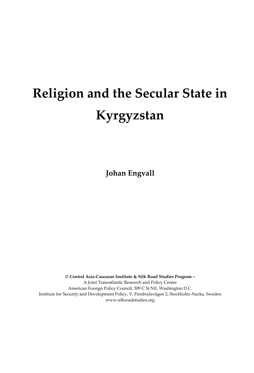## **Religion and the Secular State in Kyrgyzstan**

**Johan Engvall**

**© Central Asia-Caucasus Institute & Silk Road Studies Program –** A Joint Transatlantic Research and Policy Center American Foreign Policy Council, 509 C St NE, Washington D.C. Institute for Security and Development Policy, V. Finnbodavägen 2, Stockholm-Nacka, Sweden www.silkroadstudies.org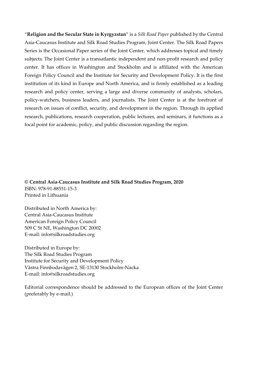"**Religion and the Secular State in Kyrgyzstan**" is a *Silk Road Paper* published by the Central Asia-Caucasus Institute and Silk Road Studies Program, Joint Center. The Silk Road Papers Series is the Occasional Paper series of the Joint Center, which addresses topical and timely subjects. The Joint Center is a transatlantic independent and non-profit research and policy center. It has offices in Washington and Stockholm and is affiliated with the American Foreign Policy Council and the Institute for Security and Development Policy. It is the first institution of its kind in Europe and North America, and is firmly established as a leading research and policy center, serving a large and diverse community of analysts, scholars, policy-watchers, business leaders, and journalists. The Joint Center is at the forefront of research on issues of conflict, security, and development in the region. Through its applied research, publications, research cooperation, public lectures, and seminars, it functions as a focal point for academic, policy, and public discussion regarding the region.

**© Central Asia-Caucasus Institute and Silk Road Studies Program, 2020** ISBN: 978-91-88551-15-3 Printed in Lithuania

Distributed in North America by: Central Asia-Caucasus Institute American Foreign Policy Council 509 C St NE, Washington DC 20002 E-mail: info@silkroadstudies.org

Distributed in Europe by: The Silk Road Studies Program Institute for Security and Development Policy Västra Finnbodavägen 2, SE-13130 Stockholm-Nacka E-mail: info@silkroadstudies.org

Editorial correspondence should be addressed to the European offices of the Joint Center (preferably by e-mail.)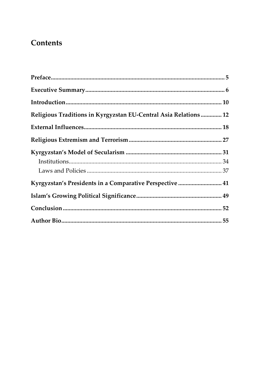### **Contents**

| Religious Traditions in Kyrgyzstan EU-Central Asia Relations  12 |  |
|------------------------------------------------------------------|--|
|                                                                  |  |
|                                                                  |  |
|                                                                  |  |
|                                                                  |  |
|                                                                  |  |
| Kyrgyzstan's Presidents in a Comparative Perspective  41         |  |
|                                                                  |  |
|                                                                  |  |
|                                                                  |  |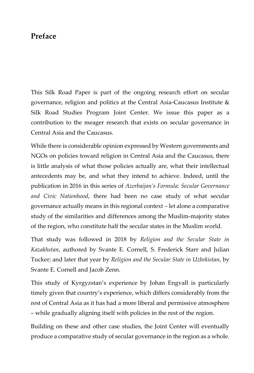#### <span id="page-6-0"></span>**Preface**

This Silk Road Paper is part of the ongoing research effort on secular governance, religion and politics at the Central Asia-Caucasus Institute & Silk Road Studies Program Joint Center. We issue this paper as a contribution to the meager research that exists on secular governance in Central Asia and the Caucasus.

While there is considerable opinion expressed by Western governments and NGOs on policies toward religion in Central Asia and the Caucasus, there is little analysis of what those policies actually are, what their intellectual antecedents may be, and what they intend to achieve. Indeed, until the publication in 2016 in this series of *Azerbaijan's Formula: Secular Governance and Civic Nationhood*, there had been no case study of what secular governance actually means in this regional context – let alone a comparative study of the similarities and differences among the Muslim-majority states of the region, who constitute half the secular states in the Muslim world.

That study was followed in 2018 by *Religion and the Secular State in Kazakhstan*, authored by Svante E. Cornell, S. Frederick Starr and Julian Tucker; and later that year by *Religion and the Secular State in Uzbekistan*, by Svante E. Cornell and Jacob Zenn.

This study of Kyrgyzstan's experience by Johan Engvall is particularly timely given that country's experience, which differs considerably from the rest of Central Asia as it has had a more liberal and permissive atmosphere – while gradually aligning itself with policies in the rest of the region.

Building on these and other case studies, the Joint Center will eventually produce a comparative study of secular governance in the region as a whole.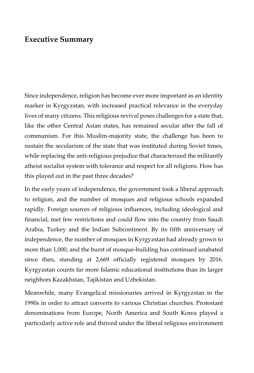#### <span id="page-7-0"></span>**Executive Summary**

Since independence, religion has become ever more important as an identity marker in Kyrgyzstan, with increased practical relevance in the everyday lives of many citizens. This religious revival poses challenges for a state that, like the other Central Asian states, has remained secular after the fall of communism. For this Muslim-majority state, the challenge has been to sustain the secularism of the state that was instituted during Soviet times, while replacing the anti-religious prejudice that characterized the militantly atheist socialist system with tolerance and respect for all religions. How has this played out in the past three decades?

In the early years of independence, the government took a liberal approach to religion, and the number of mosques and religious schools expanded rapidly. Foreign sources of religious influences, including ideological and financial, met few restrictions and could flow into the country from Saudi Arabia, Turkey and the Indian Subcontinent. By its fifth anniversary of independence, the number of mosques in Kyrgyzstan had already grown to more than 1,000, and the burst of mosque-building has continued unabated since then, standing at 2,669 officially registered mosques by 2016. Kyrgyzstan counts far more Islamic educational institutions than its larger neighbors Kazakhstan, Tajikistan and Uzbekistan.

Meanwhile, many Evangelical missionaries arrived in Kyrgyzstan in the 1990s in order to attract converts to various Christian churches. Protestant denominations from Europe, North America and South Korea played a particularly active role and thrived under the liberal religious environment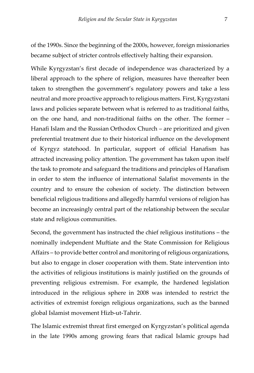of the 1990s. Since the beginning of the 2000s, however, foreign missionaries became subject of stricter controls effectively halting their expansion.

While Kyrgyzstan's first decade of independence was characterized by a liberal approach to the sphere of religion, measures have thereafter been taken to strengthen the government's regulatory powers and take a less neutral and more proactive approach to religious matters. First, Kyrgyzstani laws and policies separate between what is referred to as traditional faiths, on the one hand, and non-traditional faiths on the other. The former – Hanafi Islam and the Russian Orthodox Church – are prioritized and given preferential treatment due to their historical influence on the development of Kyrgyz statehood. In particular, support of official Hanafism has attracted increasing policy attention. The government has taken upon itself the task to promote and safeguard the traditions and principles of Hanafism in order to stem the influence of international Salafist movements in the country and to ensure the cohesion of society. The distinction between beneficial religious traditions and allegedly harmful versions of religion has become an increasingly central part of the relationship between the secular state and religious communities.

Second, the government has instructed the chief religious institutions – the nominally independent Muftiate and the State Commission for Religious Affairs – to provide better control and monitoring of religious organizations, but also to engage in closer cooperation with them. State intervention into the activities of religious institutions is mainly justified on the grounds of preventing religious extremism. For example, the hardened legislation introduced in the religious sphere in 2008 was intended to restrict the activities of extremist foreign religious organizations, such as the banned global Islamist movement Hizb-ut-Tahrir.

The Islamic extremist threat first emerged on Kyrgyzstan's political agenda in the late 1990s among growing fears that radical Islamic groups had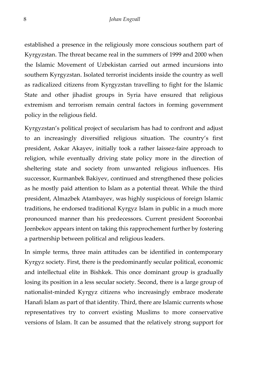established a presence in the religiously more conscious southern part of Kyrgyzstan. The threat became real in the summers of 1999 and 2000 when the Islamic Movement of Uzbekistan carried out armed incursions into southern Kyrgyzstan. Isolated terrorist incidents inside the country as well as radicalized citizens from Kyrgyzstan travelling to fight for the Islamic State and other jihadist groups in Syria have ensured that religious extremism and terrorism remain central factors in forming government policy in the religious field.

Kyrgyzstan's political project of secularism has had to confront and adjust to an increasingly diversified religious situation. The country's first president, Askar Akayev, initially took a rather laissez-faire approach to religion, while eventually driving state policy more in the direction of sheltering state and society from unwanted religious influences. His successor, Kurmanbek Bakiyev, continued and strengthened these policies as he mostly paid attention to Islam as a potential threat. While the third president, Almazbek Atambayev, was highly suspicious of foreign Islamic traditions, he endorsed traditional Kyrgyz Islam in public in a much more pronounced manner than his predecessors. Current president Sooronbai Jeenbekov appears intent on taking this rapprochement further by fostering a partnership between political and religious leaders.

In simple terms, three main attitudes can be identified in contemporary Kyrgyz society. First, there is the predominantly secular political, economic and intellectual elite in Bishkek. This once dominant group is gradually losing its position in a less secular society. Second, there is a large group of nationalist-minded Kyrgyz citizens who increasingly embrace moderate Hanafi Islam as part of that identity. Third, there are Islamic currents whose representatives try to convert existing Muslims to more conservative versions of Islam. It can be assumed that the relatively strong support for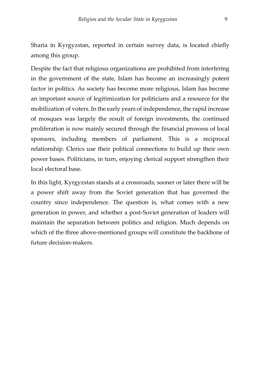Sharia in Kyrgyzstan, reported in certain survey data, is located chiefly among this group.

Despite the fact that religious organizations are prohibited from interfering in the government of the state, Islam has become an increasingly potent factor in politics. As society has become more religious, Islam has become an important source of legitimization for politicians and a resource for the mobilization of voters. In the early years of independence, the rapid increase of mosques was largely the result of foreign investments, the continued proliferation is now mainly secured through the financial prowess of local sponsors, including members of parliament. This is a reciprocal relationship. Clerics use their political connections to build up their own power bases. Politicians, in turn, enjoying clerical support strengthen their local electoral base.

In this light, Kyrgyzstan stands at a crossroads; sooner or later there will be a power shift away from the Soviet generation that has governed the country since independence. The question is, what comes with a new generation in power, and whether a post-Soviet generation of leaders will maintain the separation between politics and religion. Much depends on which of the three above-mentioned groups will constitute the backbone of future decision-makers.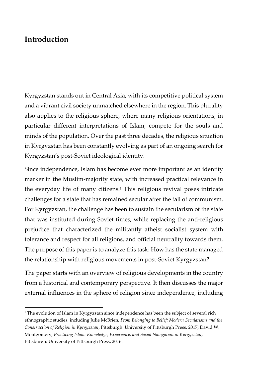#### <span id="page-11-0"></span>**Introduction**

Kyrgyzstan stands out in Central Asia, with its competitive political system and a vibrant civil society unmatched elsewhere in the region. This plurality also applies to the religious sphere, where many religious orientations, in particular different interpretations of Islam, compete for the souls and minds of the population. Over the past three decades, the religious situation in Kyrgyzstan has been constantly evolving as part of an ongoing search for Kyrgyzstan's post-Soviet ideological identity.

Since independence, Islam has become ever more important as an identity marker in the Muslim-majority state, with increased practical relevance in the everyday life of many citizens.<sup>1</sup> This religious revival poses intricate challenges for a state that has remained secular after the fall of communism. For Kyrgyzstan, the challenge has been to sustain the secularism of the state that was instituted during Soviet times, while replacing the anti-religious prejudice that characterized the militantly atheist socialist system with tolerance and respect for all religions, and official neutrality towards them. The purpose of this paper is to analyze this task: How has the state managed the relationship with religious movements in post-Soviet Kyrgyzstan?

The paper starts with an overview of religious developments in the country from a historical and contemporary perspective. It then discusses the major external influences in the sphere of religion since independence, including

<sup>&</sup>lt;sup>1</sup> The evolution of Islam in Kyrgyzstan since independence has been the subject of several rich ethnographic studies, including Julie McBrien, *From Belonging to Belief: Modern Secularisms and the Construction of Religion in Kyrgyzstan*, Pittsburgh: University of Pittsburgh Press, 2017; David W. Montgomery, *Practicing Islam: Knowledge, Experience, and Social Navigation in Kyrgyzstan*, Pittsburgh: University of Pittsburgh Press, 2016.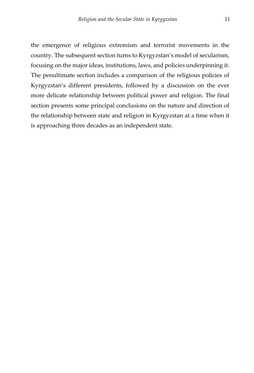the emergence of religious extremism and terrorist movements in the country. The subsequent section turns to Kyrgyzstan's model of secularism, focusing on the major ideas, institutions, laws, and policies underpinning it. The penultimate section includes a comparison of the religious policies of Kyrgyzstan's different presidents, followed by a discussion on the ever more delicate relationship between political power and religion. The final section presents some principal conclusions on the nature and direction of the relationship between state and religion in Kyrgyzstan at a time when it is approaching three decades as an independent state.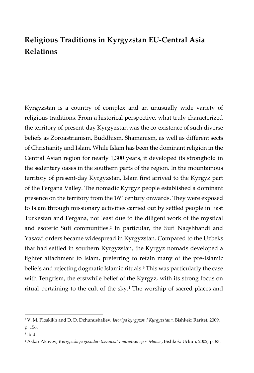## <span id="page-13-0"></span>**Religious Traditions in Kyrgyzstan EU-Central Asia Relations**

Kyrgyzstan is a country of complex and an unusually wide variety of religious traditions. From a historical perspective, what truly characterized the territory of present-day Kyrgyzstan was the co-existence of such diverse beliefs as Zoroastrianism, Buddhism, Shamanism, as well as different sects of Christianity and Islam. While Islam has been the dominant religion in the Central Asian region for nearly 1,300 years, it developed its stronghold in the sedentary oases in the southern parts of the region. In the mountainous territory of present-day Kyrgyzstan, Islam first arrived to the Kyrgyz part of the Fergana Valley. The nomadic Kyrgyz people established a dominant presence on the territory from the 16<sup>th</sup> century onwards. They were exposed to Islam through missionary activities carried out by settled people in East Turkestan and Fergana, not least due to the diligent work of the mystical and esoteric Sufi communities.<sup>2</sup> In particular, the Sufi Naqshbandi and Yasawi orders became widespread in Kyrgyzstan. Compared to the Uzbeks that had settled in southern Kyrgyzstan, the Kyrgyz nomads developed a lighter attachment to Islam, preferring to retain many of the pre-Islamic beliefs and rejecting dogmatic Islamic rituals.<sup>3</sup> This was particularly the case with Tengrism, the erstwhile belief of the Kyrgyz, with its strong focus on ritual pertaining to the cult of the sky.<sup>4</sup> The worship of sacred places and

<sup>2</sup> V. M. Ploskikh and D. D. Dzhunushaliev, *Istoriya kyrgyzov i Kyrgyzstana*, Bishkek: Raritet, 2009, p. 156.

<sup>3</sup> Ibid.

<sup>4</sup> Askar Akayev, *Kyrgyzskaya gosudarstvennost' i narodnyi epos Manas*, Bishkek: Uckun, 2002, p. 83.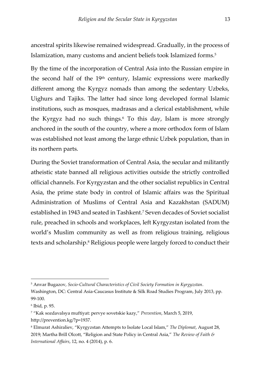ancestral spirits likewise remained widespread. Gradually, in the process of Islamization, many customs and ancient beliefs took Islamized forms.<sup>5</sup>

By the time of the incorporation of Central Asia into the Russian empire in the second half of the 19th century, Islamic expressions were markedly different among the Kyrgyz nomads than among the sedentary Uzbeks, Uighurs and Tajiks. The latter had since long developed formal Islamic institutions, such as mosques, madrasas and a clerical establishment, while the Kyrgyz had no such things.<sup>6</sup> To this day, Islam is more strongly anchored in the south of the country, where a more orthodox form of Islam was established not least among the large ethnic Uzbek population, than in its northern parts.

During the Soviet transformation of Central Asia, the secular and militantly atheistic state banned all religious activities outside the strictly controlled official channels. For Kyrgyzstan and the other socialist republics in Central Asia, the prime state body in control of Islamic affairs was the Spiritual Administration of Muslims of Central Asia and Kazakhstan (SADUM) established in 1943 and seated in Tashkent.<sup>7</sup> Seven decades of Soviet socialist rule, preached in schools and workplaces, left Kyrgyzstan isolated from the world's Muslim community as well as from religious training, religious texts and scholarship.<sup>8</sup> Religious people were largely forced to conduct their

<sup>5</sup> Anvar Bugazov, *Socio-Cultural Characteristics of Civil Society Formation in Kyrgyzstan*.

Washington, DC: Central Asia-Caucasus Institute & Silk Road Studies Program, July 2013, pp. 99-100.

<sup>6</sup> Ibid, p. 95.

<sup>7</sup> "Kak sozdavalsya muftiyat: pervye sovetskie kazy," *Prevention*, March 5, 2019, http://prevention.kg/?p=1937.

<sup>8</sup> Elmurat Ashiraliev, "Kyrgyzstan Attempts to Isolate Local Islam," *The Diplomat*, August 28, 2019; Martha Brill Olcott, "Religion and State Policy in Central Asia," *The Review of Faith & International Affairs*, 12, no. 4 (2014), p. 6.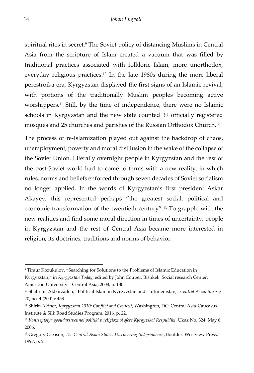spiritual rites in secret.<sup>9</sup> The Soviet policy of distancing Muslims in Central Asia from the scripture of Islam created a vacuum that was filled by traditional practices associated with folkloric Islam, more unorthodox, everyday religious practices.<sup>10</sup> In the late 1980s during the more liberal perestroika era, Kyrgyzstan displayed the first signs of an Islamic revival, with portions of the traditionally Muslim peoples becoming active worshippers.<sup>11</sup> Still, by the time of independence, there were no Islamic schools in Kyrgyzstan and the new state counted 39 officially registered mosques and 25 churches and parishes of the Russian Orthodox Church.<sup>12</sup>

The process of re-Islamization played out against the backdrop of chaos, unemployment, poverty and moral disillusion in the wake of the collapse of the Soviet Union. Literally overnight people in Kyrgyzstan and the rest of the post-Soviet world had to come to terms with a new reality, in which rules, norms and beliefs enforced through seven decades of Soviet socialism no longer applied. In the words of Kyrgyzstan's first president Askar Akayev, this represented perhaps "the greatest social, political and economic transformation of the twentieth century".<sup>13</sup> To grapple with the new realities and find some moral direction in times of uncertainty, people in Kyrgyzstan and the rest of Central Asia became more interested in religion, its doctrines, traditions and norms of behavior.

<sup>9</sup> Timur Kozukulov, "Searching for Solutions to the Problems of Islamic Education in

Kyrgyzstan," in *Kyrgyzstan Today*, edited by John Couper, Bishkek: Social research Center, American University – Central Asia, 2008, p. 130.

<sup>10</sup> Shahram Akbarzadeh, "Political Islam in Kyrgyzstan and Turkmenistan," *Central Asian Survey* 20, no. 4 (2001): 453.

<sup>11</sup> Shirin Akiner, *Kyrgyzstan 2010: Conflict and Context*, Washington, DC: Central Asia-Caucasus Institute & Silk Road Studies Program, 2016, p. 22.

<sup>12</sup> *Kontseptsiya gosudarstvennoi politiki v religioznoi sfere Kyrgyzskoi Respubliki*, Ukaz No. 324, May 6, 2006.

<sup>13</sup> Gregory Gleason, *The Central Asian States: Discovering Independence*, Boulder: Westview Press, 1997, p. 2.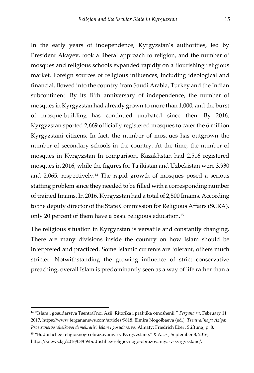In the early years of independence, Kyrgyzstan's authorities, led by President Akayev, took a liberal approach to religion, and the number of mosques and religious schools expanded rapidly on a flourishing religious market. Foreign sources of religious influences, including ideological and financial, flowed into the country from Saudi Arabia, Turkey and the Indian subcontinent. By its fifth anniversary of independence, the number of mosques in Kyrgyzstan had already grown to more than 1,000, and the burst of mosque-building has continued unabated since then. By 2016, Kyrgyzstan sported 2,669 officially registered mosques to cater the 6 million Kyrgyzstani citizens. In fact, the number of mosques has outgrown the number of secondary schools in the country. At the time, the number of mosques in Kyrgyzstan In comparison, Kazakhstan had 2,516 registered mosques in 2016, while the figures for Tajikistan and Uzbekistan were 3,930 and 2,065, respectively.<sup>14</sup> The rapid growth of mosques posed a serious staffing problem since they needed to be filled with a corresponding number of trained Imams. In 2016, Kyrgyzstan had a total of 2,500 Imams. According to the deputy director of the State Commission for Religious Affairs (SCRA), only 20 percent of them have a basic religious education.<sup>15</sup>

The religious situation in Kyrgyzstan is versatile and constantly changing. There are many divisions inside the country on how Islam should be interpreted and practiced. Some Islamic currents are tolerant, others much stricter. Notwithstanding the growing influence of strict conservative preaching, overall Islam is predominantly seen as a way of life rather than a

<sup>14</sup> "Islam i gosudarstva Tsentral'noi Azii: Ritorika i praktika otnoshenii," *Fergana.ru*, February 11, 2017, https://www.fergananews.com/articles/9618; Elmira Nogoibaeva (ed.), *Tsentral'naya Aziya: Prostranstvo 'shelkovoi demokratii'. Islam i gosudarstvo*, Almaty: Friedrich Ebert Stiftung, p. 8.

<sup>15</sup> "Budushchee religioznogo obrazovaniya v Kyrgyzstane," *K-News*, September 8, 2016, https://knews.kg/2016/08/09/budushhee-religioznogo-obrazovaniya-v-kyrgyzstane/.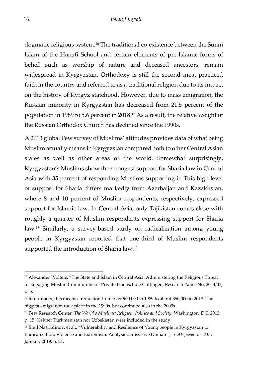dogmatic religious system.<sup>16</sup> The traditional co-existence between the Sunni Islam of the Hanafi School and certain elements of pre-Islamic forms of belief, such as worship of nature and deceased ancestors, remain widespread in Kyrgyzstan. Orthodoxy is still the second most practiced faith in the country and referred to as a traditional religion due to its impact on the history of Kyrgyz statehood. However, due to mass emigration, the Russian minority in Kyrgyzstan has decreased from 21.5 percent of the population in 1989 to 5.6 percent in 2018.<sup>17</sup> As a result, the relative weight of the Russian Orthodox Church has declined since the 1990s.

A 2013 global Pew survey of Muslims' attitudes provides data of what being Muslim actually means in Kyrgyzstan compared both to other Central Asian states as well as other areas of the world. Somewhat surprisingly, Kyrgyzstan's Muslims show the strongest support for Sharia law in Central Asia with 35 percent of responding Muslims supporting it. This high level of support for Sharia differs markedly from Azerbaijan and Kazakhstan, where 8 and 10 percent of Muslim respondents, respectively, expressed support for Islamic law. In Central Asia, only Tajikistan comes close with roughly a quarter of Muslim respondents expressing support for Sharia law.<sup>18</sup> Similarly, a survey-based study on radicalization among young people in Kyrgyzstan reported that one-third of Muslim respondents supported the introduction of Sharia law.<sup>19</sup>

<sup>&</sup>lt;sup>16</sup> Alexander Wolters, "The State and Islam in Central Asia: Administering the Religious Threat or Engaging Muslim Communities?" Private Hochschule Göttingen, Research Paper No. 2014/03, p. 5.

<sup>&</sup>lt;sup>17</sup> In numbers, this means a reduction from over 900,000 in 1989 to about 350,000 in 2018. The biggest emigration took place in the 1990s, but continued also in the 2000s.

<sup>18</sup> Pew Research Center, *The World's Muslims: Religion, Politics and Society*, Washington, DC, 2013,

p. 15. Neither Turkmenistan nor Uzbekistan were included in the study.

<sup>&</sup>lt;sup>19</sup> Emil Nasritdinov, et al., "Vulnerability and Resilience of Young people in Kyrgyzstan to Radicalization, Violence and Extremism: Analysis across Five Domains," *CAP paper, no. 213*, January 2019, p. 21.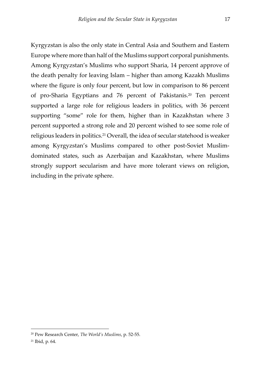Kyrgyzstan is also the only state in Central Asia and Southern and Eastern Europe where more than half of the Muslims support corporal punishments. Among Kyrgyzstan's Muslims who support Sharia, 14 percent approve of the death penalty for leaving Islam – higher than among Kazakh Muslims where the figure is only four percent, but low in comparison to 86 percent of pro-Sharia Egyptians and 76 percent of Pakistanis.<sup>20</sup> Ten percent supported a large role for religious leaders in politics, with 36 percent supporting "some" role for them, higher than in Kazakhstan where 3 percent supported a strong role and 20 percent wished to see some role of religious leaders in politics.<sup>21</sup> Overall, the idea of secular statehood is weaker among Kyrgyzstan's Muslims compared to other post-Soviet Muslimdominated states, such as Azerbaijan and Kazakhstan, where Muslims strongly support secularism and have more tolerant views on religion, including in the private sphere.

<sup>20</sup> Pew Research Center, *The World's Muslims*, p. 52-55.

<sup>21</sup> Ibid, p. 64.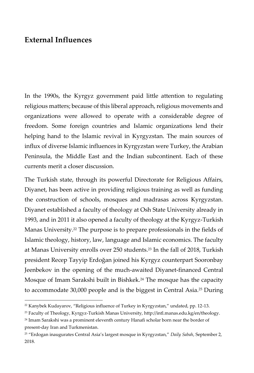#### <span id="page-19-0"></span>**External Influences**

In the 1990s, the Kyrgyz government paid little attention to regulating religious matters; because of this liberal approach, religious movements and organizations were allowed to operate with a considerable degree of freedom. Some foreign countries and Islamic organizations lend their helping hand to the Islamic revival in Kyrgyzstan. The main sources of influx of diverse Islamic influences in Kyrgyzstan were Turkey, the Arabian Peninsula, the Middle East and the Indian subcontinent. Each of these currents merit a closer discussion.

The Turkish state, through its powerful Directorate for Religious Affairs, Diyanet, has been active in providing religious training as well as funding the construction of schools, mosques and madrasas across Kyrgyzstan. Diyanet established a faculty of theology at Osh State University already in 1993, and in 2011 it also opened a faculty of theology at the Kyrgyz-Turkish Manas University.<sup>22</sup> The purpose is to prepare professionals in the fields of Islamic theology, history, law, language and Islamic economics. The faculty at Manas University enrolls over 250 students.<sup>23</sup> In the fall of 2018, Turkish president Recep Tayyip Erdoğan joined his Kyrgyz counterpart Sooronbay Jeenbekov in the opening of the much-awaited Diyanet-financed Central Mosque of Imam Sarakshi built in Bishkek.<sup>24</sup> The mosque has the capacity to accommodate 30,000 people and is the biggest in Central Asia.<sup>25</sup> During

<sup>22</sup> Kanybek Kudayarov, "Religious influence of Turkey in Kyrgyzstan," undated, pp. 12-13.

<sup>23</sup> Faculty of Theology, Kyrgyz-Turkish Manas University, http://intl.manas.edu.kg/en/theology.

<sup>24</sup> Imam Sarakshi was a prominent eleventh century Hanafi scholar born near the border of present-day Iran and Turkmenistan.

<sup>25</sup> "Erdogan inaugurates Central Asia's largest mosque in Kyrgyzstan," *Daily Sabah*, September 2, 2018.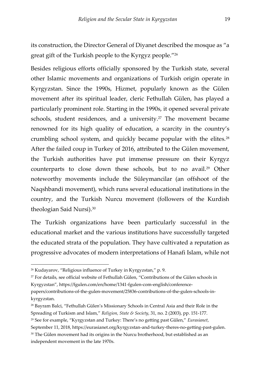its construction, the Director General of Diyanet described the mosque as "a great gift of the Turkish people to the Kyrgyz people."<sup>26</sup>

Besides religious efforts officially sponsored by the Turkish state, several other Islamic movements and organizations of Turkish origin operate in Kyrgyzstan. Since the 1990s, Hizmet, popularly known as the Gülen movement after its spiritual leader, cleric Fethullah Gülen, has played a particularly prominent role. Starting in the 1990s, it opened several private schools, student residences, and a university.<sup>27</sup> The movement became renowned for its high quality of education, a scarcity in the country's crumbling school system, and quickly became popular with the elites.<sup>28</sup> After the failed coup in Turkey of 2016, attributed to the Gülen movement, the Turkish authorities have put immense pressure on their Kyrgyz counterparts to close down these schools, but to no avail.<sup>29</sup> Other noteworthy movements include the Süleymancilar (an offshoot of the Naqshbandi movement), which runs several educational institutions in the country, and the Turkish Nurcu movement (followers of the Kurdish theologian Said Nursi).<sup>30</sup>

The Turkish organizations have been particularly successful in the educational market and the various institutions have successfully targeted the educated strata of the population. They have cultivated a reputation as progressive advocates of modern interpretations of Hanafi Islam, while not

September 11, 2018, https://eurasianet.org/kyrgyzstan-and-turkey-theres-no-getting-past-gulen.

<sup>30</sup> The Gülen movement had its origins in the Nurcu brotherhood, but established as an independent movement in the late 1970s.

<sup>26</sup> Kudayarov, "Religious influence of Turkey in Kyrgyzstan," p. 9.

<sup>27</sup> For details, see official website of Fethullah Gülen, "Contributions of the Gülen schools in Kyrgyzstan", https://fgulen.com/en/home/1341-fgulen-com-english/conference-

papers/contributions-of-the-gulen-movement/25836-contributions-of-the-gulen-schools-inkyrgyzstan.

<sup>28</sup> Bayram Balci, "Fethullah Gülen's Missionary Schools in Central Asia and their Role in the Spreading of Turkism and Islam," *Religion, State & Society*, 31, no. 2 (2003), pp. 151-177.

<sup>29</sup> See for example, "Kyrgyzstan and Turkey: There's no getting past Gülen," *Eurasianet*,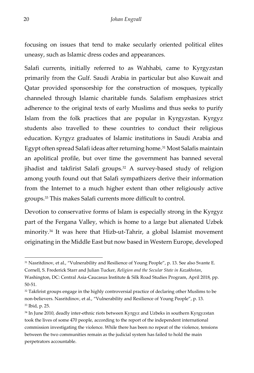focusing on issues that tend to make secularly oriented political elites uneasy, such as Islamic dress codes and appearances.

Salafi currents, initially referred to as Wahhabi, came to Kyrgyzstan primarily from the Gulf. Saudi Arabia in particular but also Kuwait and Qatar provided sponsorship for the construction of mosques, typically channeled through Islamic charitable funds. Salafism emphasizes strict adherence to the original texts of early Muslims and thus seeks to purify Islam from the folk practices that are popular in Kyrgyzstan. Kyrgyz students also travelled to these countries to conduct their religious education. Kyrgyz graduates of Islamic institutions in Saudi Arabia and Egypt often spread Salafi ideas after returning home.<sup>31</sup> Most Salafis maintain an apolitical profile, but over time the government has banned several jihadist and takfirist Salafi groups.<sup>32</sup> A survey-based study of religion among youth found out that Salafi sympathizers derive their information from the Internet to a much higher extent than other religiously active groups.<sup>33</sup> This makes Salafi currents more difficult to control.

Devotion to conservative forms of Islam is especially strong in the Kyrgyz part of the Fergana Valley, which is home to a large but alienated Uzbek minority.<sup>34</sup> It was here that Hizb-ut-Tahrir, a global Islamist movement originating in the Middle East but now based in Western Europe, developed

<sup>&</sup>lt;sup>31</sup> Nasritdinov, et al., "Vulnerability and Resilience of Young People", p. 13. See also Svante E. Cornell, S. Frederick Starr and Julian Tucker, *Religion and the Secular State in Kazakhstan*,

Washington, DC: Central Asia-Caucasus Institute & Silk Road Studies Program, April 2018, pp. 50-51.

 $32$  Takfirist groups engage in the highly controversial practice of declaring other Muslims to be non-believers. Nasritdinov, et al., "Vulnerability and Resilience of Young People", p. 13. <sup>33</sup> Ibid, p. 25.

<sup>34</sup> In June 2010, deadly inter-ethnic riots between Kyrgyz and Uzbeks in southern Kyrgyzstan took the lives of some 470 people, according to the report of the independent international commission investigating the violence. While there has been no repeat of the violence, tensions between the two communities remain as the judicial system has failed to hold the main perpetrators accountable.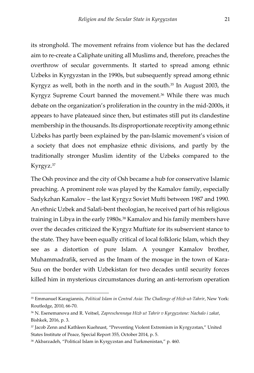its stronghold. The movement refrains from violence but has the declared aim to re-create a Caliphate uniting all Muslims and, therefore, preaches the overthrow of secular governments. It started to spread among ethnic Uzbeks in Kyrgyzstan in the 1990s, but subsequently spread among ethnic Kyrgyz as well, both in the north and in the south.<sup>35</sup> In August 2003, the Kyrgyz Supreme Court banned the movement.<sup>36</sup> While there was much debate on the organization's proliferation in the country in the mid-2000s, it appears to have plateaued since then, but estimates still put its clandestine membership in the thousands. Its disproportionate receptivity among ethnic Uzbeks has partly been explained by the pan-Islamic movement's vision of a society that does not emphasize ethnic divisions, and partly by the traditionally stronger Muslim identity of the Uzbeks compared to the Kyrgyz.<sup>37</sup>

The Osh province and the city of Osh became a hub for conservative Islamic preaching. A prominent role was played by the Kamalov family, especially Sadykzhan Kamalov – the last Kyrgyz Soviet Mufti between 1987 and 1990. An ethnic Uzbek and Salafi-bent theologian, he received part of his religious training in Libya in the early 1980s.<sup>38</sup> Kamalov and his family members have over the decades criticized the Kyrgyz Muftiate for its subservient stance to the state. They have been equally critical of local folkloric Islam, which they see as a distortion of pure Islam. A younger Kamalov brother, Muhammadrafik, served as the Imam of the mosque in the town of Kara-Suu on the border with Uzbekistan for two decades until security forces killed him in mysterious circumstances during an anti-terrorism operation

<sup>35</sup> Emmanuel Karagiannis, *Political Islam in Central Asia: The Challenge of Hizb-ut-Tahrir*, New York: Routledge, 2010, 66-70.

<sup>36</sup> N. Esenemanova and R. Veitsel, *Zapreschennaya Hizb ut Tahrir v Kyrgyzstane: Nachalo i zakat*, Bishkek, 2016, p. 3.

<sup>37</sup> Jacob Zenn and Kathleen Kuehnast, "Preventing Violent Extremism in Kyrgyzstan," United States Institute of Peace, Special Report 355, October 2014, p. 5.

<sup>38</sup> Akbarzadeh, "Political Islam in Kyrgyzstan and Turkmenistan," p. 460.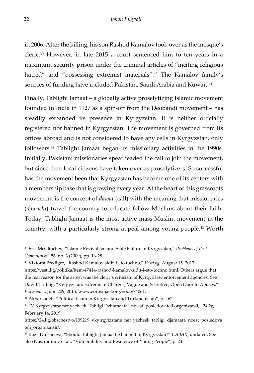in 2006. After the killing, his son Rashod Kamalov took over as the mosque's cleric.<sup>39</sup> However, in late 2015 a court sentenced him to ten years in a maximum-security prison under the criminal articles of "inciting religious hatred" and "possessing extremist materials".<sup>40</sup> The Kamalov family's sources of funding have included Pakistan, Saudi Arabia and Kuwait.<sup>41</sup>

Finally, Tablighi Jamaat – a globally active proselytizing Islamic movement founded in India in 1927 as a spin-off from the Deobandi movement – has steadily expanded its presence in Kyrgyzstan. It is neither officially registered nor banned in Kyrgyzstan. The movement is governed from its offices abroad and is not considered to have any cells in Kyrgyzstan, only followers.<sup>42</sup> Tablighi Jamaat began its missionary activities in the 1990s. Initially, Pakistani missionaries spearheaded the call to join the movement, but since then local citizens have taken over as proselytizers. So successful has the movement been that Kyrgyzstan has become one of its centers with a membership base that is growing every year. At the heart of this grassroots movement is the concept of *dawat* (call) with the meaning that missionaries (*dawachi*) travel the country to educate fellow Muslims about their faith. Today, Tablighi Jamaat is the most active mass Muslim movement in the country, with a particularly strong appeal among young people.<sup>43</sup> Worth

<sup>39</sup> Eric McGlinchey, "Islamic Revivalism and State Failure in Kyrgyzstan," *Problems of Post-Communism*, 56, no. 3 (2009), pp. 16-28.

<sup>40</sup> Viktoria Prediger, "Rashod Kamalov sidit, i eto tochno," *Vesti.kg*, August 15, 2017.

https://vesti.kg/politika/item/47414-rashod-kamalov-sidit-i-eto-tochno.html. Others argue that the real reason for the arrest was the cleric's criticism of Kyrgyz law enforcement agencies. See David Trilling, "Kyrgyzstan: Extremism Charges, Vague and Secretive, Open Door to Abuses," *Eurasianet*, June 209, 2015, www.eurasinaet.org/node/74061.

<sup>41</sup> Akbarzadeh, "Political Islam in Kyrgyzstan and Turkmenistan", p. 462.

<sup>42</sup> "V Kyrgyzstane net yacheek 'Tabligi Dzhamaata', no est' posledovateli organizatsii," *24.kg*, February 14, 2019,

https://24.kg/obschestvo/109219\_vkyirgyizstane\_net\_yacheek\_tabligi\_djamaata\_noest\_posledova teli\_organizatsii/.

<sup>43</sup> Roza Duisheeva, "Should Tablighi Jamaat be banned in Kyrgyzstan?" *CABAR*, undated. See also Nasritidinov et al., "Vulnerability and Resilience of Young People", p. 24.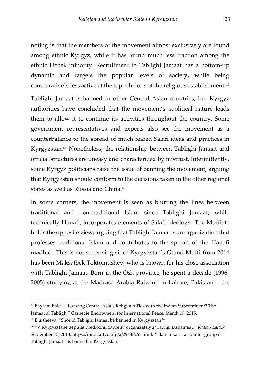noting is that the members of the movement almost exclusively are found among ethnic Kyrgyz, while it has found much less traction among the ethnic Uzbek minority. Recruitment to Tablighi Jamaat has a bottom-up dynamic and targets the popular levels of society, while being comparatively less active at the top echelons of the religious establishment.<sup>44</sup>

Tablighi Jamaat is banned in other Central Asian countries, but Kyrgyz authorities have concluded that the movement's apolitical nature leads them to allow it to continue its activities throughout the country. Some government representatives and experts also see the movement as a counterbalance to the spread of much feared Salafi ideas and practices in Kyrgyzstan.<sup>45</sup> Nonetheless, the relationship between Tablighi Jamaat and official structures are uneasy and characterized by mistrust. Intermittently, some Kyrgyz politicians raise the issue of banning the movement, arguing that Kyrgyzstan should conform to the decisions taken in the other regional states as well as Russia and China.<sup>46</sup>

In some corners, the movement is seen as blurring the lines between traditional and non-traditional Islam since Tablighi Jamaat, while technically Hanafi, incorporates elements of Salafi ideology. The Muftiate holds the opposite view, arguing that Tablighi Jamaat is an organization that professes traditional Islam and contributes to the spread of the Hanafi madhab. This is not surprising since Kyrgyzstan's Grand Mufti from 2014 has been Maksatbek Toktomushev, who is known for his close association with Tablighi Jamaat. Born in the Osh province, he spent a decade (1996- 2005) studying at the Madrasa Arabia Raiwind in Lahore, Pakistan – the

<sup>44</sup> Bayram Balci, "Reviving Central Asia's Religious Ties with the Indian Subcontinent? The Jamaat al Tabligh," Carnegie Endowment for International Peace, March 19, 2015.

<sup>45</sup> Duisheeva, "Should Tablighi Jamaat be banned in Kyrgyzstan?"

<sup>46</sup> "V Kyrgyzstane deputat predlozhil zapretit' organizatsiyu 'Tabligi Dzhamaat," *Radio Azattyk*, September 13, 2018, https://rus.azattyq.org/a/29487261.html. Yakan Inkar – a splinter group of Tablighi Jamaat – is banned in Kyrgyzstan.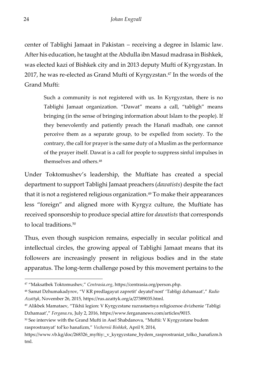center of Tablighi Jamaat in Pakistan – receiving a degree in Islamic law. After his education, he taught at the Abdulla ibn Masud madrasa in Bishkek, was elected kazi of Bishkek city and in 2013 deputy Mufti of Kyrgyzstan. In 2017, he was re-elected as Grand Mufti of Kyrgyzstan.<sup>47</sup> In the words of the Grand Mufti:

Such a community is not registered with us. In Kyrgyzstan, there is no Tablighi Jamaat organization. "Dawat" means a call, "tabligh" means bringing (in the sense of bringing information about Islam to the people). If they benevolently and patiently preach the Hanafi madhab, one cannot perceive them as a separate group, to be expelled from society. To the contrary, the call for prayer is the same duty of a Muslim as the performance of the prayer itself. Dawat is a call for people to suppress sinful impulses in themselves and others.<sup>48</sup>

Under Toktomushev's leadership, the Muftiate has created a special department to support Tablighi Jamaat preachers (*dawatists*) despite the fact that it is not a registered religious organization.<sup>49</sup> To make their appearances less "foreign" and aligned more with Kyrgyz culture, the Muftiate has received sponsorship to produce special attire for *dawatists* that corresponds to local traditions.<sup>50</sup>

Thus, even though suspicion remains, especially in secular political and intellectual circles, the growing appeal of Tablighi Jamaat means that its followers are increasingly present in religious bodies and in the state apparatus. The long-term challenge posed by this movement pertains to the

<sup>47</sup> "Maksatbek Toktomushev," *Centrasia.org*, https://centrasia.org/person.php.

<sup>48</sup> Samat Dzhumakadyrov, "V KR predlagayut zapretit' deyatel'nost' 'Tabligi dzhamaat'," *Radio Azattyk*, November 26, 2015, https://rus.azattyk.org/a/27389035.html.

<sup>49</sup> Alikbek Mamataev, "Tikhii legion: V Kyrgyzstane razrastaetsya religioznoe dvizhenie 'Tabligi Dzhamaat'," *Fergana.ru*, July 2, 2016, https://www.fergananews.com/articles/9015.

<sup>50</sup> See interview with the Grand Mufti in Asel Shabdanova, "Muftii: V Kyrgyzstane budem rasprostranyat' tol'ko hanafizm," *Vechernii Bishkek*, April 9, 2014,

https://www.vb.kg/doc/268326\_myftiy:\_v\_kyrgyzstane\_bydem\_rasprostraniat\_tolko\_hanafizm.h tml.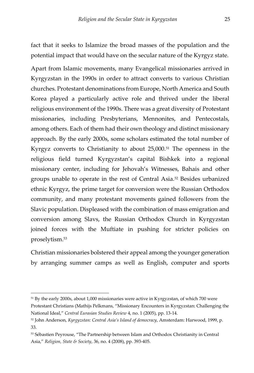fact that it seeks to Islamize the broad masses of the population and the potential impact that would have on the secular nature of the Kyrgyz state.

Apart from Islamic movements, many Evangelical missionaries arrived in Kyrgyzstan in the 1990s in order to attract converts to various Christian churches. Protestant denominations from Europe, North America and South Korea played a particularly active role and thrived under the liberal religious environment of the 1990s. There was a great diversity of Protestant missionaries, including Presbyterians, Mennonites, and Pentecostals, among others. Each of them had their own theology and distinct missionary approach. By the early 2000s, some scholars estimated the total number of Kyrgyz converts to Christianity to about 25,000.<sup>51</sup> The openness in the religious field turned Kyrgyzstan's capital Bishkek into a regional missionary center, including for Jehovah's Witnesses, Bahais and other groups unable to operate in the rest of Central Asia.<sup>52</sup> Besides urbanized ethnic Kyrgyz, the prime target for conversion were the Russian Orthodox community, and many protestant movements gained followers from the Slavic population. Displeased with the combination of mass emigration and conversion among Slavs, the Russian Orthodox Church in Kyrgyzstan joined forces with the Muftiate in pushing for stricter policies on proselytism.<sup>53</sup>

Christian missionaries bolstered their appeal among the younger generation by arranging summer camps as well as English, computer and sports

<sup>&</sup>lt;sup>51</sup> By the early 2000s, about 1,000 missionaries were active in Kyrgyzstan, of which 700 were Protestant Christians (Mathijs Pelkmans, "Missionary Encounters in Kyrgyzstan: Challenging the National Ideal," *Central Eurasian Studies Review* 4, no. 1 (2005), pp. 13-14.

<sup>52</sup> John Anderson, *Kyrgyzstan: Central Asia's Island of democracy*, Amsterdam: Harwood, 1999, p. 33.

<sup>53</sup> Sébastien Peyrouse, "The Partnership between Islam and Orthodox Christianity in Central Asia," *Religion, State & Society*, 36, no. 4 (2008), pp. 393-405.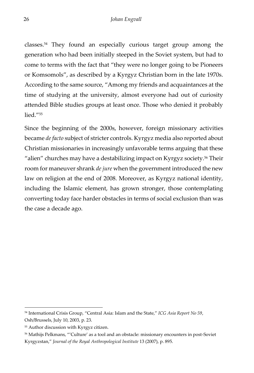classes.<sup>54</sup> They found an especially curious target group among the generation who had been initially steeped in the Soviet system, but had to come to terms with the fact that "they were no longer going to be Pioneers or Komsomols", as described by a Kyrgyz Christian born in the late 1970s. According to the same source, "Among my friends and acquaintances at the time of studying at the university, almost everyone had out of curiosity attended Bible studies groups at least once. Those who denied it probably lied."<sup>55</sup>

Since the beginning of the 2000s, however, foreign missionary activities became *de facto* subject of stricter controls. Kyrgyz media also reported about Christian missionaries in increasingly unfavorable terms arguing that these "alien" churches may have a destabilizing impact on Kyrgyz society.<sup>56</sup> Their room for maneuver shrank *de jure* when the government introduced the new law on religion at the end of 2008. Moreover, as Kyrgyz national identity, including the Islamic element, has grown stronger, those contemplating converting today face harder obstacles in terms of social exclusion than was the case a decade ago.

<sup>54</sup> International Crisis Group, "Central Asia: Islam and the State," *ICG Asia Report No 59*, Osh/Brussels, July 10, 2003, p. 23.

<sup>55</sup> Author discussion with Kyrgyz citizen.

<sup>56</sup> Mathijs Pelkmans, "'Culture' as a tool and an obstacle: missionary encounters in post-Soviet Kyrgyzstan," *Journal of the Royal Anthropological Institute* 13 (2007), p. 895.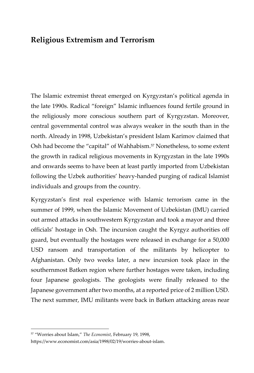#### <span id="page-28-0"></span>**Religious Extremism and Terrorism**

The Islamic extremist threat emerged on Kyrgyzstan's political agenda in the late 1990s. Radical "foreign" Islamic influences found fertile ground in the religiously more conscious southern part of Kyrgyzstan. Moreover, central governmental control was always weaker in the south than in the north. Already in 1998, Uzbekistan's president Islam Karimov claimed that Osh had become the "capital" of Wahhabism.<sup>57</sup> Nonetheless, to some extent the growth in radical religious movements in Kyrgyzstan in the late 1990s and onwards seems to have been at least partly imported from Uzbekistan following the Uzbek authorities' heavy-handed purging of radical Islamist individuals and groups from the country.

Kyrgyzstan's first real experience with Islamic terrorism came in the summer of 1999, when the Islamic Movement of Uzbekistan (IMU) carried out armed attacks in southwestern Kyrgyzstan and took a mayor and three officials' hostage in Osh. The incursion caught the Kyrgyz authorities off guard, but eventually the hostages were released in exchange for a 50,000 USD ransom and transportation of the militants by helicopter to Afghanistan. Only two weeks later, a new incursion took place in the southernmost Batken region where further hostages were taken, including four Japanese geologists. The geologists were finally released to the Japanese government after two months, at a reported price of 2 million USD. The next summer, IMU militants were back in Batken attacking areas near

<sup>57</sup> "Worries about Islam," *The Economist*, February 19, 1998,

https://www.economist.com/asia/1998/02/19/worries-about-islam.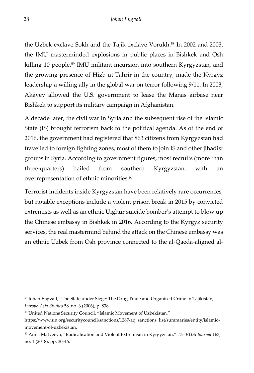the Uzbek exclave Sokh and the Tajik exclave Vorukh.<sup>58</sup> In 2002 and 2003, the IMU masterminded explosions in public places in Bishkek and Osh killing 10 people.<sup>59</sup> IMU militant incursion into southern Kyrgyzstan, and the growing presence of Hizb-ut-Tahrir in the country, made the Kyrgyz leadership a willing ally in the global war on terror following 9/11. In 2003, Akayev allowed the U.S. government to lease the Manas airbase near Bishkek to support its military campaign in Afghanistan.

A decade later, the civil war in Syria and the subsequent rise of the Islamic State (IS) brought terrorism back to the political agenda. As of the end of 2016, the government had registered that 863 citizens from Kyrgyzstan had travelled to foreign fighting zones, most of them to join IS and other jihadist groups in Syria. According to government figures, most recruits (more than three-quarters) hailed from southern Kyrgyzstan, with an overrepresentation of ethnic minorities.<sup>60</sup>

Terrorist incidents inside Kyrgyzstan have been relatively rare occurrences, but notable exceptions include a violent prison break in 2015 by convicted extremists as well as an ethnic Uighur suicide bomber's attempt to blow up the Chinese embassy in Bishkek in 2016. According to the Kyrgyz security services, the real mastermind behind the attack on the Chinese embassy was an ethnic Uzbek from Osh province connected to the al-Qaeda-aligned al-

<sup>&</sup>lt;sup>58</sup> Johan Engvall, "The State under Siege: The Drug Trade and Organised Crime in Tajikistan," *Europe-Asia Studies* 58, no. 6 (2006), p. 838.

<sup>59</sup> United Nations Security Council, "Islamic Movement of Uzbekistan,"

https://www.un.org/securitycouncil/sanctions/1267/aq\_sanctions\_list/summaries/entity/islamicmovement-of-uzbekistan.

<sup>60</sup> Anna Matveeva, "Radicalisation and Violent Extremism in Kyrgyzstan," *The RUSI Journal* 163, no. 1 (2018), pp. 30-46.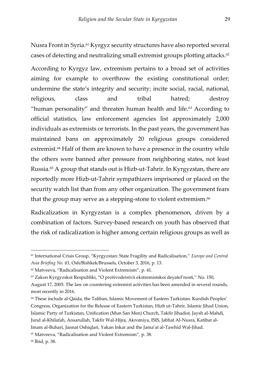Nusra Front in Syria.<sup>61</sup> Kyrgyz security structures have also reported several cases of detecting and neutralizing small extremist groups plotting attacks.<sup>62</sup>

According to Kyrgyz law, extremism pertains to a broad set of activities aiming for example to overthrow the existing constitutional order; undermine the state's integrity and security; incite social, racial, national, religious, class and tribal hatred; destroy "human personality" and threaten human health and life.<sup>63</sup> According to official statistics, law enforcement agencies list approximately 2,000 individuals as extremists or terrorists. In the past years, the government has maintained bans on approximately 20 religious groups considered extremist.<sup>64</sup> Half of them are known to have a presence in the country while the others were banned after pressure from neighboring states, not least Russia.<sup>65</sup> A group that stands out is Hizb-ut-Tahrir. In Kyrgyzstan, there are reportedly more Hizb-ut-Tahrir sympathizers imprisoned or placed on the security watch list than from any other organization. The government fears that the group may serve as a stepping-stone to violent extremism. $^{66}$ 

Radicalization in Kyrgyzstan is a complex phenomenon, driven by a combination of factors. Survey-based research on youth has observed that the risk of radicalization is higher among certain religious groups as well as

<sup>61</sup> International Crisis Group, "Kyrgyzstan: State Fragility and Radicalisation," *Europe and Central Asia Briefing No. 83*, Osh/Bishkek/Brussels, October 3, 2016, p. 13.

<sup>62</sup> Matveeva, "Radicalisation and Violent Extremism", p. 41.

<sup>63</sup> Zakon Kyrgyzskoi Respubliki, "O protivodeistvii ekstremistskoi deyatel'nosti," No. 150,

August 17, 2005. The law on countering extremist activities has been amended in several rounds, most recently in 2016.

<sup>64</sup> These include al-Qaida, the Taliban, Islamic Movement of Eastern Turkistan. Kurdish Peoples' Congress, Organization for the Release of Eastern Turkistan, Hizb ut-Tahrir, Islamic Jihad Union, Islamic Party of Turkistan, Unification (Mun San Men) Church, Takfir Jihadist, Jaysh al-Mahdi, Jund al-Khilafah, Ansarullah, Takfir Wal-Hijra, Akromiya, ISIS, Jabhat Al-Nusra, Katibat al-Imam al-Buhari, Jannat Oshiqlari, Yakan Inkar and the Jama'at al-Tawhid Wal-Jihad.

<sup>65</sup> Matveeva, "Radicalisation and Violent Extremism", p. 38.

<sup>66</sup> Ibid, p. 38.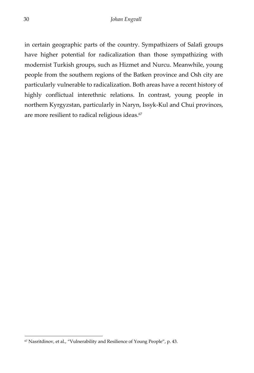in certain geographic parts of the country. Sympathizers of Salafi groups have higher potential for radicalization than those sympathizing with modernist Turkish groups, such as Hizmet and Nurcu. Meanwhile, young people from the southern regions of the Batken province and Osh city are particularly vulnerable to radicalization. Both areas have a recent history of highly conflictual interethnic relations. In contrast, young people in northern Kyrgyzstan, particularly in Naryn, Issyk-Kul and Chui provinces, are more resilient to radical religious ideas.<sup>67</sup>

<sup>67</sup> Nasritdinov, et al., "Vulnerability and Resilience of Young People", p. 43.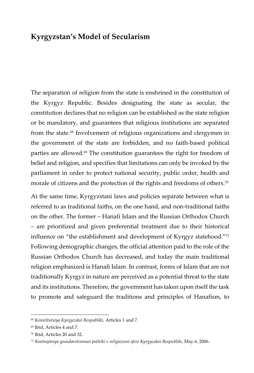#### <span id="page-32-0"></span>**Kyrgyzstan's Model of Secularism**

The separation of religion from the state is enshrined in the constitution of the Kyrgyz Republic. Besides designating the state as secular, the constitution declares that no religion can be established as the state religion or be mandatory, and guarantees that religious institutions are separated from the state.<sup>68</sup> Involvement of religious organizations and clergymen in the government of the state are forbidden, and no faith-based political parties are allowed. $69$  The constitution guarantees the right for freedom of belief and religion, and specifies that limitations can only be invoked by the parliament in order to protect national security, public order, health and morale of citizens and the protection of the rights and freedoms of others.<sup>70</sup>

At the same time, Kyrgyzstani laws and policies separate between what is referred to as traditional faiths, on the one hand, and non-traditional faiths on the other. The former – Hanafi Islam and the Russian Orthodox Church – are prioritized and given preferential treatment due to their historical influence on "the establishment and development of Kyrgyz statehood."<sup>71</sup> Following demographic changes, the official attention paid to the role of the Russian Orthodox Church has decreased, and today the main traditional religion emphasized is Hanafi Islam. In contrast, forms of Islam that are not traditionally Kyrgyz in nature are perceived as a potential threat to the state and its institutions. Therefore, the government has taken upon itself the task to promote and safeguard the traditions and principles of Hanafism, to

<sup>68</sup> *Konstitutsiya Kyrgyzskoi Respubliki*, Articles 1 and 7.

<sup>69</sup> Ibid, Articles 4 and 7.

<sup>70</sup> Ibid, Articles 20 and 32.

<sup>71</sup> *Kontseptsiya gosudarstvennoi politiki v religioznoi sfere Kyrgyzskoi Respubliki*, May 6, 2006.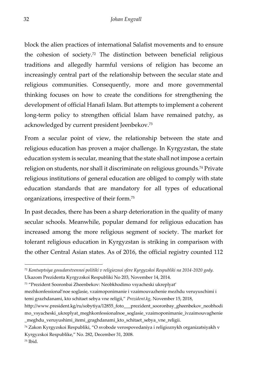block the alien practices of international Salafist movements and to ensure the cohesion of society.<sup>72</sup> The distinction between beneficial religious traditions and allegedly harmful versions of religion has become an increasingly central part of the relationship between the secular state and religious communities. Consequently, more and more governmental thinking focuses on how to create the conditions for strengthening the development of official Hanafi Islam. But attempts to implement a coherent long-term policy to strengthen official Islam have remained patchy, as acknowledged by current president Jeenbekov.<sup>73</sup>

From a secular point of view, the relationship between the state and religious education has proven a major challenge. In Kyrgyzstan, the state education system is secular, meaning that the state shall not impose a certain religion on students, nor shall it discriminate on religious grounds.<sup>74</sup> Private religious institutions of general education are obliged to comply with state education standards that are mandatory for all types of educational organizations, irrespective of their form.<sup>75</sup>

In past decades, there has been a sharp deterioration in the quality of many secular schools. Meanwhile, popular demand for religious education has increased among the more religious segment of society. The market for tolerant religious education in Kyrgyzstan is striking in comparison with the other Central Asian states. As of 2016, the official registry counted 112

Ukazom Prezidenta Kyrgyzskoi Respubliki No 203, November 14, 2014.

mezhkonfessional'noe soglasie, vzaimoponimanie i vzaimouvazhenie mezhdu veruyuschimi i temi grazhdanami, kto schitaet sebya vne religii," *Prezident.kg*, November 15, 2018,

<sup>72</sup> *Kontseptsiya gosudarstvennoi politiki v religioznoi sfere Kyrgyzskoi Respubliki na 2014-2020 gody.* 

<sup>73</sup> "Prezident Sooronbai Zheenbekov: Neobkhodimo vsyacheski ukreplyat'

http://www.president.kg/ru/sobytiya/12855\_foto\_\_\_prezident\_sooronbay\_gheenbekov\_neobhodi mo\_vsyacheski\_ukreplyat\_meghkonfessionalnoe\_soglasie\_vzaimoponimanie\_ivzaimouvaghenie \_meghdu\_veruyushimi\_itemi\_graghdanami\_kto\_schitaet\_sebya\_vne\_religii.

<sup>74</sup> Zakon Kyrgyzskoi Respubliki, "O svobode verospovedaniya i religioznykh organizatsiyakh v Kyrgyzskoi Respublike," No. 282, December 31, 2008.

<sup>75</sup> Ibid.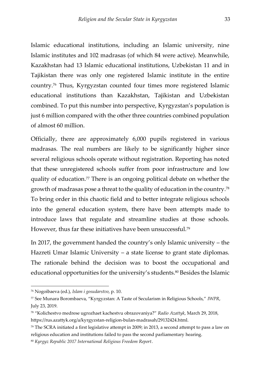Islamic educational institutions, including an Islamic university, nine Islamic institutes and 102 madrasas (of which 84 were active). Meanwhile, Kazakhstan had 13 Islamic educational institutions, Uzbekistan 11 and in Tajikistan there was only one registered Islamic institute in the entire country.<sup>76</sup> Thus, Kyrgyzstan counted four times more registered Islamic educational institutions than Kazakhstan, Tajikistan and Uzbekistan combined. To put this number into perspective, Kyrgyzstan's population is just 6 million compared with the other three countries combined population of almost 60 million.

Officially, there are approximately 6,000 pupils registered in various madrasas. The real numbers are likely to be significantly higher since several religious schools operate without registration. Reporting has noted that these unregistered schools suffer from poor infrastructure and low quality of education.<sup>77</sup> There is an ongoing political debate on whether the growth of madrasas pose a threat to the quality of education in the country.<sup>78</sup> To bring order in this chaotic field and to better integrate religious schools into the general education system, there have been attempts made to introduce laws that regulate and streamline studies at those schools. However, thus far these initiatives have been unsuccessful.<sup>79</sup>

In 2017, the government handed the country's only Islamic university – the Hazreti Umar Islamic University – a state license to grant state diplomas. The rationale behind the decision was to boost the occupational and educational opportunities for the university's students.<sup>80</sup> Besides the Islamic

<sup>76</sup> Nogoibaeva (ed.), *Islam i gosudarstvo*, p. 10.

<sup>77</sup> See Munara Borombaeva, "Kyrgyzstan: A Taste of Secularism in Religious Schools," *IWPR*, July 23, 2019.

<sup>78</sup> "Kolichestvo medrese ugrozhaet kachestvu obrazovaniya?" *Radio Azattyk*, March 29, 2018, https://rus.azattyk.org/a/kyrgyzstan-religion-bulan-madrasah/29132424.html.

 $79$  The SCRA initiated a first legislative attempt in 2009; in 2013, a second attempt to pass a law on religious education and institutions failed to pass the second parliamentary hearing.

<sup>80</sup> *Kyrgyz Republic 2017 International Religious Freedom Report*.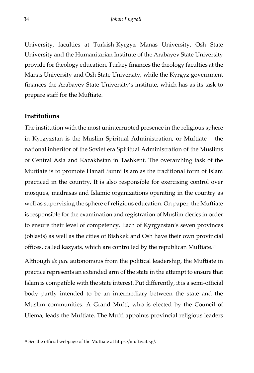University, faculties at Turkish-Kyrgyz Manas University, Osh State University and the Humanitarian Institute of the Arabayev State University provide for theology education. Turkey finances the theology faculties at the Manas University and Osh State University, while the Kyrgyz government finances the Arabayev State University's institute, which has as its task to prepare staff for the Muftiate.

#### <span id="page-35-0"></span>**Institutions**

The institution with the most uninterrupted presence in the religious sphere in Kyrgyzstan is the Muslim Spiritual Administration, or Muftiate – the national inheritor of the Soviet era Spiritual Administration of the Muslims of Central Asia and Kazakhstan in Tashkent. The overarching task of the Muftiate is to promote Hanafi Sunni Islam as the traditional form of Islam practiced in the country. It is also responsible for exercising control over mosques, madrasas and Islamic organizations operating in the country as well as supervising the sphere of religious education. On paper, the Muftiate is responsible for the examination and registration of Muslim clerics in order to ensure their level of competency. Each of Kyrgyzstan's seven provinces (oblasts) as well as the cities of Bishkek and Osh have their own provincial offices, called kazyats, which are controlled by the republican Muftiate.<sup>81</sup>

Although *de jure* autonomous from the political leadership, the Muftiate in practice represents an extended arm of the state in the attempt to ensure that Islam is compatible with the state interest. Put differently, it is a semi-official body partly intended to be an intermediary between the state and the Muslim communities. A Grand Mufti, who is elected by the Council of Ulema, leads the Muftiate. The Mufti appoints provincial religious leaders

<sup>81</sup> See the official webpage of the Muftiate at https://muftiyat.kg/.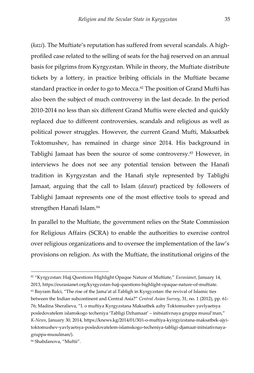(*kazi*). The Muftiate's reputation has suffered from several scandals. A highprofiled case related to the selling of seats for the hajj reserved on an annual basis for pilgrims from Kyrgyzstan. While in theory, the Muftiate distribute tickets by a lottery, in practice bribing officials in the Muftiate became standard practice in order to go to Mecca.<sup>82</sup> The position of Grand Mufti has also been the subject of much controversy in the last decade. In the period 2010-2014 no less than six different Grand Muftis were elected and quickly replaced due to different controversies, scandals and religious as well as political power struggles. However, the current Grand Mufti, Maksatbek Toktomushev, has remained in charge since 2014. His background in Tablighi Jamaat has been the source of some controversy.<sup>83</sup> However, in interviews he does not see any potential tension between the Hanafi tradition in Kyrgyzstan and the Hanafi style represented by Tablighi Jamaat, arguing that the call to Islam (*dawat*) practiced by followers of Tablighi Jamaat represents one of the most effective tools to spread and strengthen Hanafi Islam.<sup>84</sup>

In parallel to the Muftiate, the government relies on the State Commission for Religious Affairs (SCRA) to enable the authorities to exercise control over religious organizations and to oversee the implementation of the law's provisions on religion. As with the Muftiate, the institutional origins of the

<sup>82</sup> "Kyrgyzstan: Hajj Questions Highlight Opaque Nature of Muftiate," *Eurasianet*, January 14, 2013, https://eurasianet.org/kyrgyzstan-hajj-questions-highlight-opaque-nature-of-muftiate. <sup>83</sup> Bayram Balci, "The rise of the Jama'at al Tabligh in Kyrgyzstan: the revival of Islamic ties between the Indian subcontinent and Central Asia?" *Central Asian Survey*, 31, no. 1 (2012), pp. 61- 76; Madina Sheralieva, "I. o muftiya Kyrgyzstana Maksatbek azhy Toktomushev yavlyaetsya posledovatelem islamskogo techeniya 'Tabligi Dzhamaat' – initsiativnaya gruppa musul'man," *K-News*, January 30, 2014, https://knews.kg/2014/01/30/i-o-muftiya-kyirgyizstana-maksatbek-ajyitoktomushev-yavlyaetsya-posledovatelem-islamskogo-techeniya-tabligi-djamaat-initsiativnayagruppa-musulman/).

<sup>84</sup> Shabdanova, "Muftii".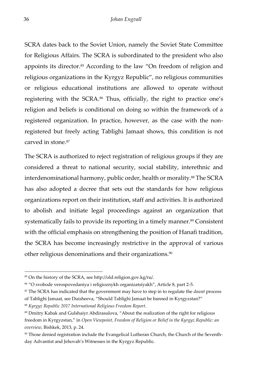SCRA dates back to the Soviet Union, namely the Soviet State Committee for Religious Affairs. The SCRA is subordinated to the president who also appoints its director.<sup>85</sup> According to the law "On freedom of religion and religious organizations in the Kyrgyz Republic", no religious communities or religious educational institutions are allowed to operate without registering with the SCRA.<sup>86</sup> Thus, officially, the right to practice one's religion and beliefs is conditional on doing so within the framework of a registered organization. In practice, however, as the case with the nonregistered but freely acting Tablighi Jamaat shows, this condition is not carved in stone.<sup>87</sup>

The SCRA is authorized to reject registration of religious groups if they are considered a threat to national security, social stability, interethnic and interdenominational harmony, public order, health or morality.<sup>88</sup> The SCRA has also adopted a decree that sets out the standards for how religious organizations report on their institution, staff and activities. It is authorized to abolish and initiate legal proceedings against an organization that systematically fails to provide its reporting in a timely manner.<sup>89</sup> Consistent with the official emphasis on strengthening the position of Hanafi tradition, the SCRA has become increasingly restrictive in the approval of various other religious denominations and their organizations.<sup>90</sup>

<sup>85</sup> On the history of the SCRA, see http://old.religion.gov.kg/ru/.

<sup>86</sup> "O svobode verospovedaniya i religioznykh organizatsiyakh", Article 8, part 2-5.

<sup>87</sup> The SCRA has indicated that the government may have to step in to regulate the *dawat* process of Tablighi Jamaat, see Duisheeva, "Should Tablighi Jamaat be banned in Kyrgyzstan?"

<sup>88</sup> *Kyrgyz Republic 2017 International Religious Freedom Report*.

<sup>89</sup> Dmitry Kabak and Gulshaiyr Abdirasulova, "About the realization of the right for religious freedom in Kyrgyzstan," in *Open Viewpoint, Freedom of Religion or Belief in the Kyrgyz Republic: an overview*, Bishkek, 2013, p. 24.

<sup>90</sup> Those denied registration include the Evangelical Lutheran Church, the Church of the Seventhday Advantist and Jehovah's Witnesses in the Kyrgyz Republic.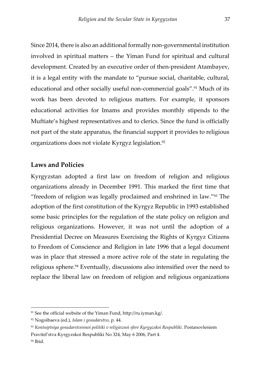Since 2014, there is also an additional formally non-governmental institution involved in spiritual matters – the Yiman Fund for spiritual and cultural development. Created by an executive order of then-president Atambayev, it is a legal entity with the mandate to "pursue social, charitable, cultural, educational and other socially useful non-commercial goals".<sup>91</sup> Much of its work has been devoted to religious matters. For example, it sponsors educational activities for Imams and provides monthly stipends to the Muftiate's highest representatives and to clerics. Since the fund is officially not part of the state apparatus, the financial support it provides to religious organizations does not violate Kyrgyz legislation.<sup>92</sup>

#### <span id="page-38-0"></span>**Laws and Policies**

Kyrgyzstan adopted a first law on freedom of religion and religious organizations already in December 1991. This marked the first time that "freedom of religion was legally proclaimed and enshrined in law."<sup>93</sup> The adoption of the first constitution of the Kyrgyz Republic in 1993 established some basic principles for the regulation of the state policy on religion and religious organizations. However, it was not until the adoption of a Presidential Decree on Measures Exercising the Rights of Kyrgyz Citizens to Freedom of Conscience and Religion in late 1996 that a legal document was in place that stressed a more active role of the state in regulating the religious sphere.<sup>94</sup> Eventually, discussions also intensified over the need to replace the liberal law on freedom of religion and religious organizations

<sup>91</sup> See the official website of the Yiman Fund, http://ru.iyman.kg/.

<sup>92</sup> Nogoibaeva (ed.), *Islam i gosudarstvo*, p. 44.

<sup>93</sup> *Kontseptsiya gosudarstvennoi politiki v religioznoi sfere Kyrgyzskoi Respubliki*. Postanovleniem Pravitel'stva Kyrgyzskoi Respubliki No 324, May 6 2006, Part 4.

<sup>94</sup> Ibid.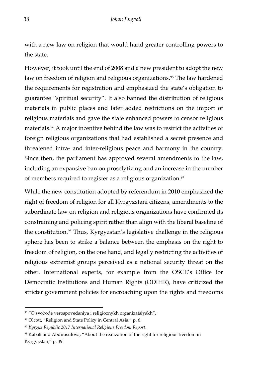with a new law on religion that would hand greater controlling powers to the state.

However, it took until the end of 2008 and a new president to adopt the new law on freedom of religion and religious organizations.<sup>95</sup> The law hardened the requirements for registration and emphasized the state's obligation to guarantee "spiritual security". It also banned the distribution of religious materials in public places and later added restrictions on the import of religious materials and gave the state enhanced powers to censor religious materials.<sup>96</sup> A major incentive behind the law was to restrict the activities of foreign religious organizations that had established a secret presence and threatened intra- and inter-religious peace and harmony in the country. Since then, the parliament has approved several amendments to the law, including an expansive ban on proselytizing and an increase in the number of members required to register as a religious organization.<sup>97</sup>

While the new constitution adopted by referendum in 2010 emphasized the right of freedom of religion for all Kyrgyzstani citizens, amendments to the subordinate law on religion and religious organizations have confirmed its constraining and policing spirit rather than align with the liberal baseline of the constitution.<sup>98</sup> Thus, Kyrgyzstan's legislative challenge in the religious sphere has been to strike a balance between the emphasis on the right to freedom of religion, on the one hand, and legally restricting the activities of religious extremist groups perceived as a national security threat on the other. International experts, for example from the OSCE's Office for Democratic Institutions and Human Rights (ODIHR), have criticized the stricter government policies for encroaching upon the rights and freedoms

<sup>95 &</sup>quot;O svobode verospovedaniya i religioznykh organizatsiyakh",

<sup>96</sup> Olcott, "Religion and State Policy in Central Asia," p. 6.

<sup>97</sup> *Kyrgyz Republic 2017 International Religious Freedom Report*.

<sup>98</sup> Kabak and Abdirasulova, "About the realization of the right for religious freedom in Kyrgyzstan," p. 39.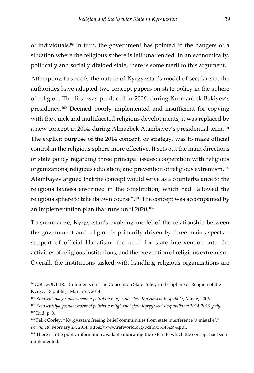of individuals.<sup>99</sup> In turn, the government has pointed to the dangers of a situation where the religious sphere is left unattended. In an economically, politically and socially divided state, there is some merit to this argument.

Attempting to specify the nature of Kyrgyzstan's model of secularism, the authorities have adopted two concept papers on state policy in the sphere of religion. The first was produced in 2006, during Kurmanbek Bakiyev's presidency.<sup>100</sup> Deemed poorly implemented and insufficient for copying with the quick and multifaceted religious developments, it was replaced by a new concept in 2014, during Almazbek Atambayev's presidential term.<sup>101</sup> The explicit purpose of the 2014 concept, or strategy, was to make official control in the religious sphere more effective. It sets out the main directions of state policy regarding three principal issues: cooperation with religious organizations; religious education; and prevention of religious extremism.<sup>102</sup> Atambayev argued that the concept would serve as a counterbalance to the religious laxness enshrined in the constitution, which had "allowed the religious sphere to take its own course".<sup>103</sup> The concept was accompanied by an implementation plan that runs until 2020.<sup>104</sup>

To summarize, Kyrgyzstan's evolving model of the relationship between the government and religion is primarily driven by three main aspects – support of official Hanafism; the need for state intervention into the activities of religious institutions; and the prevention of religious extremism. Overall, the institutions tasked with handling religious organizations are

<sup>99</sup> OSCE/ODIHR, "Comments on 'The Concept on State Policy in the Sphere of Religion of the Kyrgyz Republic," March 27, 2014.

<sup>&</sup>lt;sup>100</sup> Kontseptsiya gosudarstvennoi politiki v religioznoi sfere Kyrgyzskoi Respubliki, May 6, 2006.

<sup>101</sup> *Kontseptsiya gosudarstvennoi politiki v religioznoi sfere Kyrgyzskoi Respubliki na 2014-2020 gody.* <sup>102</sup> Ibid, p. 3.

<sup>103</sup> Felix Corley, "Kyrgyzstan: freeing belief communities from state interference 'a mistake'," *Forum 18*, February 27, 2014, https://www.refworld.org/pdfid/531452694.pdf.

<sup>&</sup>lt;sup>104</sup> There is little public information available indicating the extent to which the concept has been implemented.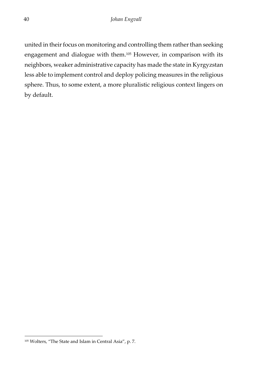united in their focus on monitoring and controlling them rather than seeking engagement and dialogue with them.<sup>105</sup> However, in comparison with its neighbors, weaker administrative capacity has made the state in Kyrgyzstan less able to implement control and deploy policing measures in the religious sphere. Thus, to some extent, a more pluralistic religious context lingers on by default.

<sup>105</sup> Wolters, "The State and Islam in Central Asia", p. 7.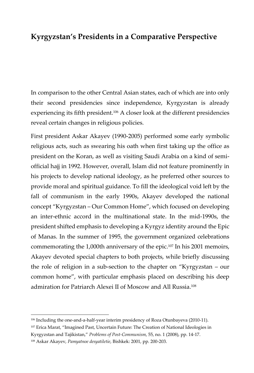#### <span id="page-42-0"></span>**Kyrgyzstan's Presidents in a Comparative Perspective**

In comparison to the other Central Asian states, each of which are into only their second presidencies since independence, Kyrgyzstan is already experiencing its fifth president.<sup>106</sup> A closer look at the different presidencies reveal certain changes in religious policies.

First president Askar Akayev (1990-2005) performed some early symbolic religious acts, such as swearing his oath when first taking up the office as president on the Koran, as well as visiting Saudi Arabia on a kind of semiofficial hajj in 1992. However, overall, Islam did not feature prominently in his projects to develop national ideology, as he preferred other sources to provide moral and spiritual guidance. To fill the ideological void left by the fall of communism in the early 1990s, Akayev developed the national concept "Kyrgyzstan – Our Common Home", which focused on developing an inter-ethnic accord in the multinational state. In the mid-1990s, the president shifted emphasis to developing a Kyrgyz identity around the Epic of Manas. In the summer of 1995, the government organized celebrations commemorating the 1,000th anniversary of the epic.<sup>107</sup> In his 2001 memoirs, Akayev devoted special chapters to both projects, while briefly discussing the role of religion in a sub-section to the chapter on "Kyrgyzstan – our common home", with particular emphasis placed on describing his deep admiration for Patriarch Alexei II of Moscow and All Russia.<sup>108</sup>

<sup>106</sup> Including the one-and-a-half-year interim presidency of Roza Otunbayeva (2010-11).

<sup>107</sup> Erica Marat, "Imagined Past, Uncertain Future: The Creation of National Ideologies in

Kyrgyzstan and Tajikistan," *Problems of Post-Communism*, 55, no. 1 (2008), pp. 14-17.

<sup>108</sup> Askar Akayev, *Pamyatnoe desyatiletie*, Bishkek: 2001, pp. 200-203.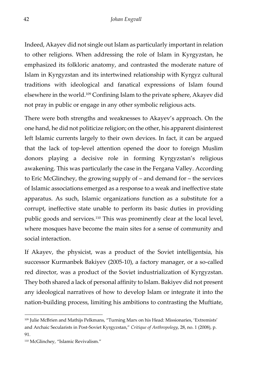Indeed, Akayev did not single out Islam as particularly important in relation to other religions. When addressing the role of Islam in Kyrgyzstan, he emphasized its folkloric anatomy, and contrasted the moderate nature of Islam in Kyrgyzstan and its intertwined relationship with Kyrgyz cultural traditions with ideological and fanatical expressions of Islam found elsewhere in the world.<sup>109</sup> Confining Islam to the private sphere, Akayev did not pray in public or engage in any other symbolic religious acts.

There were both strengths and weaknesses to Akayev's approach. On the one hand, he did not politicize religion; on the other, his apparent disinterest left Islamic currents largely to their own devices. In fact, it can be argued that the lack of top-level attention opened the door to foreign Muslim donors playing a decisive role in forming Kyrgyzstan's religious awakening. This was particularly the case in the Fergana Valley. According to Eric McGlinchey, the growing supply of – and demand for – the services of Islamic associations emerged as a response to a weak and ineffective state apparatus. As such, Islamic organizations function as a substitute for a corrupt, ineffective state unable to perform its basic duties in providing public goods and services.<sup>110</sup> This was prominently clear at the local level, where mosques have become the main sites for a sense of community and social interaction.

If Akayev, the physicist, was a product of the Soviet intelligentsia, his successor Kurmanbek Bakiyev (2005-10), a factory manager, or a so-called red director, was a product of the Soviet industrialization of Kyrgyzstan. They both shared a lack of personal affinity to Islam. Bakiyev did not present any ideological narratives of how to develop Islam or integrate it into the nation-building process, limiting his ambitions to contrasting the Muftiate,

<sup>109</sup> Julie McBrien and Mathijs Pelkmans, "Turning Marx on his Head: Missionaries, 'Extremists' and Archaic Secularists in Post-Soviet Kyrgyzstan," *Critique of Anthropology*, 28, no. 1 (2008), p. 91.

<sup>110</sup> McGlinchey, "Islamic Revivalism."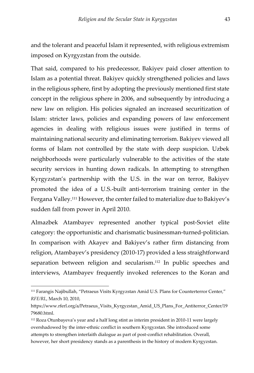and the tolerant and peaceful Islam it represented, with religious extremism imposed on Kyrgyzstan from the outside.

That said, compared to his predecessor, Bakiyev paid closer attention to Islam as a potential threat. Bakiyev quickly strengthened policies and laws in the religious sphere, first by adopting the previously mentioned first state concept in the religious sphere in 2006, and subsequently by introducing a new law on religion. His policies signaled an increased securitization of Islam: stricter laws, policies and expanding powers of law enforcement agencies in dealing with religious issues were justified in terms of maintaining national security and eliminating terrorism. Bakiyev viewed all forms of Islam not controlled by the state with deep suspicion. Uzbek neighborhoods were particularly vulnerable to the activities of the state security services in hunting down radicals. In attempting to strengthen Kyrgyzstan's partnership with the U.S. in the war on terror, Bakiyev promoted the idea of a U.S.-built anti-terrorism training center in the Fergana Valley.<sup>111</sup> However, the center failed to materialize due to Bakiyev's sudden fall from power in April 2010.

Almazbek Atambayev represented another typical post-Soviet elite category: the opportunistic and charismatic businessman-turned-politician. In comparison with Akayev and Bakiyev's rather firm distancing from religion, Atambayev's presidency (2010-17) provided a less straightforward separation between religion and secularism.<sup>112</sup> In public speeches and interviews, Atambayev frequently invoked references to the Koran and

<sup>111</sup> Farangis Najibullah, "Petraeus Visits Kyrgyzstan Amid U.S. Plans for Counterterror Center," *RFE/RL*, March 10, 2010,

https://www.rferl.org/a/Petraeus\_Visits\_Kyrgyzstan\_Amid\_US\_Plans\_For\_Antiterror\_Center/19 79680.html.

<sup>112</sup> Roza Otunbayeva's year and a half long stint as interim president in 2010-11 were largely overshadowed by the inter-ethnic conflict in southern Kyrgyzstan. She introduced some attempts to strengthen interfaith dialogue as part of post-conflict rehabilitation. Overall, however, her short presidency stands as a parenthesis in the history of modern Kyrgyzstan.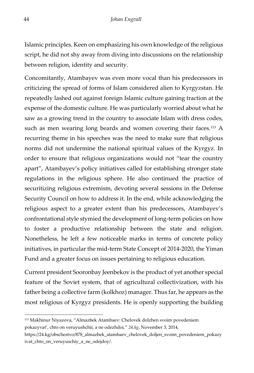Islamic principles. Keen on emphasizing his own knowledge of the religious script, he did not shy away from diving into discussions on the relationship between religion, identity and security.

Concomitantly, Atambayev was even more vocal than his predecessors in criticizing the spread of forms of Islam considered alien to Kyrgyzstan. He repeatedly lashed out against foreign Islamic culture gaining traction at the expense of the domestic culture. He was particularly worried about what he saw as a growing trend in the country to associate Islam with dress codes, such as men wearing long beards and women covering their faces.<sup>113</sup> A recurring theme in his speeches was the need to make sure that religious norms did not undermine the national spiritual values of the Kyrgyz. In order to ensure that religious organizations would not "tear the country apart", Atambayev's policy initiatives called for establishing stronger state regulations in the religious sphere. He also continued the practice of securitizing religious extremism, devoting several sessions in the Defense Security Council on how to address it. In the end, while acknowledging the religious aspect to a greater extent than his predecessors, Atambayev's confrontational style stymied the development of long-term policies on how to foster a productive relationship between the state and religion. Nonetheless, he left a few noticeable marks in terms of concrete policy initiatives, in particular the mid-term State Concept of 2014-2020, the Yiman Fund and a greater focus on issues pertaining to religious education.

Current president Sooronbay Jeenbekov is the product of yet another special feature of the Soviet system, that of agricultural collectivization, with his father being a collective farm (kolkhoz) manager. Thus far, he appears as the most religious of Kyrgyz presidents. He is openly supporting the building

<sup>113</sup> Makhinur Niyazova, "Almazbek Atambaev: Chelovek dolzhen svoim povedeniem pokazyvat', chto on veruyushchii, a ne odezhdoi," *24.kg*, November 3, 2014,

https://24.kg/obschestvo/878\_almazbek\_atambaev\_chelovek\_doljen\_svoim\_povedeniem\_pokazy ivat\_chto\_on\_veruyuschiy\_a\_ne\_odejdoy/.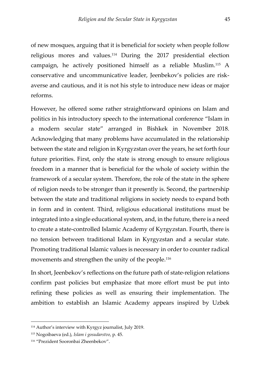of new mosques, arguing that it is beneficial for society when people follow religious mores and values.<sup>114</sup> During the 2017 presidential election campaign, he actively positioned himself as a reliable Muslim.<sup>115</sup> A conservative and uncommunicative leader, Jeenbekov's policies are riskaverse and cautious, and it is not his style to introduce new ideas or major reforms.

However, he offered some rather straightforward opinions on Islam and politics in his introductory speech to the international conference "Islam in a modern secular state" arranged in Bishkek in November 2018. Acknowledging that many problems have accumulated in the relationship between the state and religion in Kyrgyzstan over the years, he set forth four future priorities. First, only the state is strong enough to ensure religious freedom in a manner that is beneficial for the whole of society within the framework of a secular system. Therefore, the role of the state in the sphere of religion needs to be stronger than it presently is. Second, the partnership between the state and traditional religions in society needs to expand both in form and in content. Third, religious educational institutions must be integrated into a single educational system, and, in the future, there is a need to create a state-controlled Islamic Academy of Kyrgyzstan. Fourth, there is no tension between traditional Islam in Kyrgyzstan and a secular state. Promoting traditional Islamic values is necessary in order to counter radical movements and strengthen the unity of the people.<sup>116</sup>

In short, Jeenbekov's reflections on the future path of state-religion relations confirm past policies but emphasize that more effort must be put into refining these policies as well as ensuring their implementation. The ambition to establish an Islamic Academy appears inspired by Uzbek

<sup>114</sup> Author's interview with Kyrgyz journalist, July 2019.

<sup>115</sup> Nogoibaeva (ed.), *Islam i gosudarstvo*, p. 45.

<sup>116</sup> "Prezident Sooronbai Zheenbekov".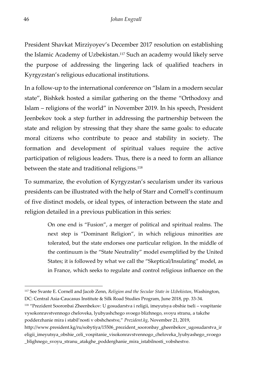President Shavkat Mirziyoyev's December 2017 resolution on establishing the Islamic Academy of Uzbekistan.<sup>117</sup> Such an academy would likely serve the purpose of addressing the lingering lack of qualified teachers in Kyrgyzstan's religious educational institutions.

In a follow-up to the international conference on "Islam in a modern secular state", Bishkek hosted a similar gathering on the theme "Orthodoxy and Islam – religions of the world" in November 2019. In his speech, President Jeenbekov took a step further in addressing the partnership between the state and religion by stressing that they share the same goals: to educate moral citizens who contribute to peace and stability in society. The formation and development of spiritual values require the active participation of religious leaders. Thus, there is a need to form an alliance between the state and traditional religions.<sup>118</sup>

To summarize, the evolution of Kyrgyzstan's secularism under its various presidents can be illustrated with the help of Starr and Cornell's continuum of five distinct models, or ideal types, of interaction between the state and religion detailed in a previous publication in this series:

> On one end is "Fusion", a merger of political and spiritual realms. The next step is "Dominant Religion", in which religious minorities are tolerated, but the state endorses one particular religion. In the middle of the continuum is the "State Neutrality" model exemplified by the United States; it is followed by what we call the "Skeptical/Insulating" model, as in France, which seeks to regulate and control religious influence on the

<sup>117</sup> See Svante E. Cornell and Jacob Zenn, *Religion and the Secular State in Uzbekistan*, Washington, DC: Central Asia-Caucasus Institute & Silk Road Studies Program, June 2018, pp. 33-34.

<sup>118</sup> "Prezident Sooronbai Zheenbekov: U gosudarstva i religii, imeyutsya obshie tseli – vospitanie vysokonravstvennogo cheloveka, lyubyashchego svoego blizhnego, svoyu stranu, a takzhe podderzhanie mira i stabil'nosti v obshchestve," *Prezident.kg*, November 21, 2019,

http://www.president.kg/ru/sobytiya/15506\_prezident\_sooronbay\_gheenbekov\_ugosudarstva\_ir eligii\_imeyutsya\_obshie\_celi\_vospitanie\_visokonravstvennogo\_cheloveka\_lyubyashego\_svoego \_blighnego\_svoyu\_stranu\_atakghe\_podderghanie\_mira\_istabilnosti\_vobshestve.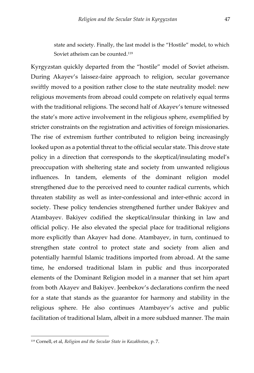state and society. Finally, the last model is the "Hostile" model, to which Soviet atheism can be counted.<sup>119</sup>

Kyrgyzstan quickly departed from the "hostile" model of Soviet atheism. During Akayev's laissez-faire approach to religion, secular governance swiftly moved to a position rather close to the state neutrality model: new religious movements from abroad could compete on relatively equal terms with the traditional religions. The second half of Akayev's tenure witnessed the state's more active involvement in the religious sphere, exemplified by stricter constraints on the registration and activities of foreign missionaries. The rise of extremism further contributed to religion being increasingly looked upon as a potential threat to the official secular state. This drove state policy in a direction that corresponds to the skeptical/insulating model's preoccupation with sheltering state and society from unwanted religious influences. In tandem, elements of the dominant religion model strengthened due to the perceived need to counter radical currents, which threaten stability as well as inter-confessional and inter-ethnic accord in society. These policy tendencies strengthened further under Bakiyev and Atambayev. Bakiyev codified the skeptical/insular thinking in law and official policy. He also elevated the special place for traditional religions more explicitly than Akayev had done. Atambayev, in turn, continued to strengthen state control to protect state and society from alien and potentially harmful Islamic traditions imported from abroad. At the same time, he endorsed traditional Islam in public and thus incorporated elements of the Dominant Religion model in a manner that set him apart from both Akayev and Bakiyev. Jeenbekov's declarations confirm the need for a state that stands as the guarantor for harmony and stability in the religious sphere. He also continues Atambayev's active and public facilitation of traditional Islam, albeit in a more subdued manner. The main

<sup>119</sup> Cornell, et al, *Religion and the Secular State in Kazakhstan*, p. 7.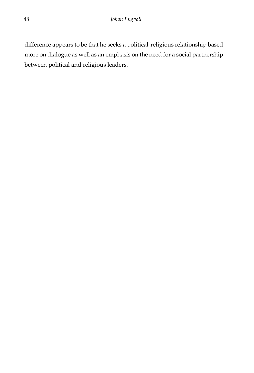difference appears to be that he seeks a political-religious relationship based more on dialogue as well as an emphasis on the need for a social partnership between political and religious leaders.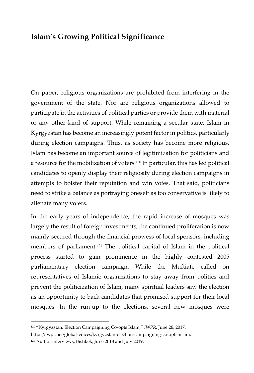#### <span id="page-50-0"></span>**Islam's Growing Political Significance**

On paper, religious organizations are prohibited from interfering in the government of the state. Nor are religious organizations allowed to participate in the activities of political parties or provide them with material or any other kind of support. While remaining a secular state, Islam in Kyrgyzstan has become an increasingly potent factor in politics, particularly during election campaigns. Thus, as society has become more religious, Islam has become an important source of legitimization for politicians and a resource for the mobilization of voters.<sup>120</sup> In particular, this has led political candidates to openly display their religiosity during election campaigns in attempts to bolster their reputation and win votes. That said, politicians need to strike a balance as portraying oneself as too conservative is likely to alienate many voters.

In the early years of independence, the rapid increase of mosques was largely the result of foreign investments, the continued proliferation is now mainly secured through the financial prowess of local sponsors, including members of parliament.<sup>121</sup> The political capital of Islam in the political process started to gain prominence in the highly contested 2005 parliamentary election campaign. While the Muftiate called on representatives of Islamic organizations to stay away from politics and prevent the politicization of Islam, many spiritual leaders saw the election as an opportunity to back candidates that promised support for their local mosques. In the run-up to the elections, several new mosques were

<sup>120</sup> "Kyrgyzstan: Election Campaigning Co-opts Islam," *IWPR*, June 26, 2017,

https://iwpr.net/global-voices/kyrgyzstan-election-campaigning-co-opts-islam.

<sup>&</sup>lt;sup>121</sup> Author interviews, Bishkek, June 2018 and July 2019.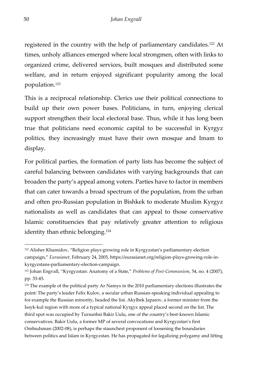registered in the country with the help of parliamentary candidates.<sup>122</sup> At times, unholy alliances emerged where local strongmen, often with links to organized crime, delivered services, built mosques and distributed some welfare, and in return enjoyed significant popularity among the local population.<sup>123</sup>

This is a reciprocal relationship. Clerics use their political connections to build up their own power bases. Politicians, in turn, enjoying clerical support strengthen their local electoral base. Thus, while it has long been true that politicians need economic capital to be successful in Kyrgyz politics, they increasingly must have their own mosque and Imam to display.

For political parties, the formation of party lists has become the subject of careful balancing between candidates with varying backgrounds that can broaden the party's appeal among voters. Parties have to factor in members that can cater towards a broad spectrum of the population, from the urban and often pro-Russian population in Bishkek to moderate Muslim Kyrgyz nationalists as well as candidates that can appeal to those conservative Islamic constituencies that pay relatively greater attention to religious identity than ethnic belonging.<sup>124</sup>

<sup>122</sup> Alisher Khamidov, "Religion plays growing role in Kyrgyzstan's parliamentary election campaign," *Eurasianet*, February 24, 2005, https://eurasianet.org/religion-plays-growing-role-inkyrgyzstans-parliamentary-election-campaign.

<sup>123</sup> Johan Engvall, "Kyrgyzstan: Anatomy of a State," *Problems of Post-Communism*, 54, no. 4 (2007), pp. 33-45.

 $124$  The example of the political party Ar Namys in the 2010 parliamentary elections illustrates the point: The party's leader Felix Kulov, a secular urban Russian-speaking individual appealing to for example the Russian minority, headed the list. Akylbek Japarov, a former minister from the Issyk-kul region with more of a typical national Kyrgyz appeal placed second on the list. The third spot was occupied by Tursunbai Bakir Uulu, one of the country's best-known Islamic conservatives. Bakir Uulu, a former MP of several convocations and Kyrgyzstan's first Ombudsman (2002-08), is perhaps the staunchest proponent of loosening the boundaries between politics and Islam in Kyrgyzstan. He has propagated for legalizing polygamy and lifting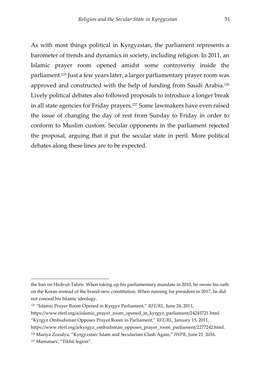As with most things political in Kyrgyzstan, the parliament represents a barometer of trends and dynamics in society, including religion. In 2011, an Islamic prayer room opened amidst some controversy inside the parliament.<sup>125</sup> Just a few years later, a larger parliamentary prayer room was approved and constructed with the help of funding from Saudi Arabia.<sup>126</sup> Lively political debates also followed proposals to introduce a longer break in all state agencies for Friday prayers.<sup>127</sup> Some lawmakers have even raised the issue of changing the day of rest from Sunday to Friday in order to conform to Muslim custom. Secular opponents in the parliament rejected the proposal, arguing that it put the secular state in peril. More political debates along these lines are to be expected.

the ban on Hizb-ut-Tahrir. When taking up his parliamentary mandate in 2010, he swore his oath on the Koran instead of the brand-new constitution. When running for president in 2017, he did not conceal his Islamic ideology.

<sup>125</sup> "Islamic Prayer Room Opened in Kyrgyz Parliament," *RFE/RL*, June 24, 2011,

https://www.rferl.org/a/islamic\_prayer\_room\_opened\_in\_kyrgyz\_parliament/24245721.html "Kyrgyz Ombudsman Opposes Prayer Room in Parliament," *RFE/RL*, January 15, 2011,

https://www.rferl.org/a/kyrgyz\_ombudsman\_opposes\_prayer\_room\_parliament/2277242.html.

<sup>126</sup> Mariya Zozulya, "Kyrgyzstan: Islam and Secularism Clash Again," *IWPR*, June 21, 2016.

<sup>127</sup> Mamataev, "Tikhii legion".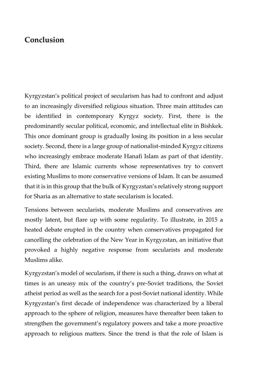#### <span id="page-53-0"></span>**Conclusion**

Kyrgyzstan's political project of secularism has had to confront and adjust to an increasingly diversified religious situation. Three main attitudes can be identified in contemporary Kyrgyz society. First, there is the predominantly secular political, economic, and intellectual elite in Bishkek. This once dominant group is gradually losing its position in a less secular society. Second, there is a large group of nationalist-minded Kyrgyz citizens who increasingly embrace moderate Hanafi Islam as part of that identity. Third, there are Islamic currents whose representatives try to convert existing Muslims to more conservative versions of Islam. It can be assumed that it is in this group that the bulk of Kyrgyzstan's relatively strong support for Sharia as an alternative to state secularism is located.

Tensions between secularists, moderate Muslims and conservatives are mostly latent, but flare up with some regularity. To illustrate, in 2015 a heated debate erupted in the country when conservatives propagated for cancelling the celebration of the New Year in Kyrgyzstan, an initiative that provoked a highly negative response from secularists and moderate Muslims alike.

Kyrgyzstan's model of secularism, if there is such a thing, draws on what at times is an uneasy mix of the country's pre-Soviet traditions, the Soviet atheist period as well as the search for a post-Soviet national identity. While Kyrgyzstan's first decade of independence was characterized by a liberal approach to the sphere of religion, measures have thereafter been taken to strengthen the government's regulatory powers and take a more proactive approach to religious matters. Since the trend is that the role of Islam is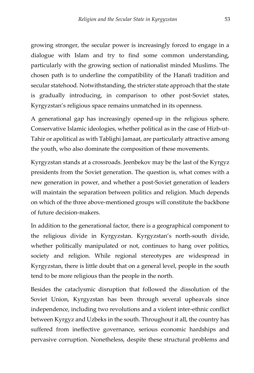growing stronger, the secular power is increasingly forced to engage in a dialogue with Islam and try to find some common understanding, particularly with the growing section of nationalist minded Muslims. The chosen path is to underline the compatibility of the Hanafi tradition and secular statehood. Notwithstanding, the stricter state approach that the state is gradually introducing, in comparison to other post-Soviet states, Kyrgyzstan's religious space remains unmatched in its openness.

A generational gap has increasingly opened-up in the religious sphere. Conservative Islamic ideologies, whether political as in the case of Hizb-ut-Tahir or apolitical as with Tablighi Jamaat, are particularly attractive among the youth, who also dominate the composition of these movements.

Kyrgyzstan stands at a crossroads. Jeenbekov may be the last of the Kyrgyz presidents from the Soviet generation. The question is, what comes with a new generation in power, and whether a post-Soviet generation of leaders will maintain the separation between politics and religion. Much depends on which of the three above-mentioned groups will constitute the backbone of future decision-makers.

In addition to the generational factor, there is a geographical component to the religious divide in Kyrgyzstan. Kyrgyzstan's north-south divide, whether politically manipulated or not, continues to hang over politics, society and religion. While regional stereotypes are widespread in Kyrgyzstan, there is little doubt that on a general level, people in the south tend to be more religious than the people in the north.

Besides the cataclysmic disruption that followed the dissolution of the Soviet Union, Kyrgyzstan has been through several upheavals since independence, including two revolutions and a violent inter-ethnic conflict between Kyrgyz and Uzbeks in the south. Throughout it all, the country has suffered from ineffective governance, serious economic hardships and pervasive corruption. Nonetheless, despite these structural problems and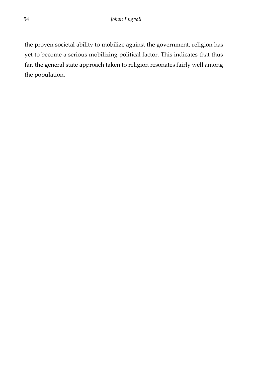the proven societal ability to mobilize against the government, religion has yet to become a serious mobilizing political factor. This indicates that thus far, the general state approach taken to religion resonates fairly well among the population.